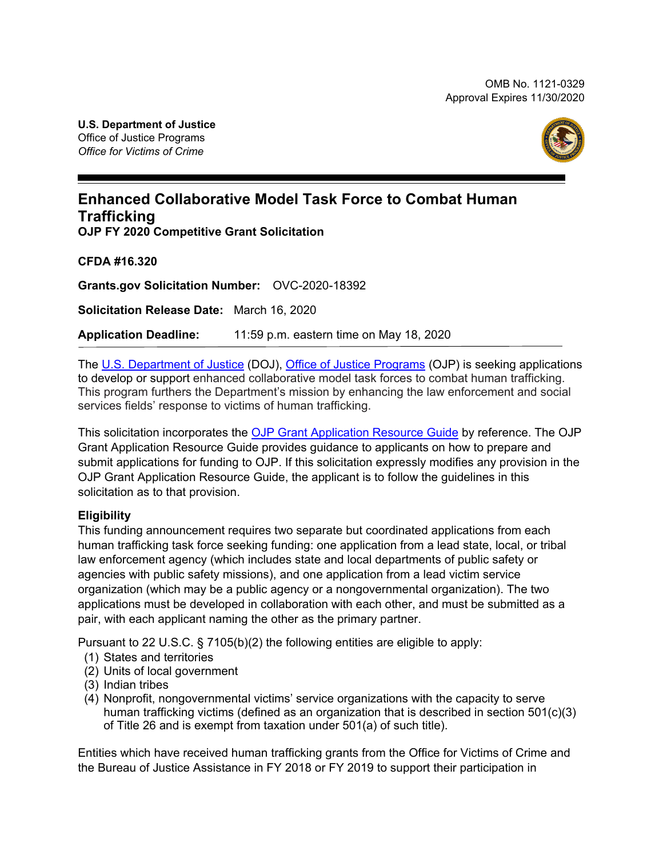**U.S. Department of Justice** Office of Justice Programs *Office for Victims of Crime*



# **Enhanced Collaborative Model Task Force to Combat Human Trafficking OJP FY 2020 Competitive Grant Solicitation**

**CFDA #16.320**

**Grants.gov Solicitation Number:** OVC-2020-18392

**Solicitation Release Date:** March 16, 2020

**Application Deadline:** 11:59 p.m. eastern time on May 18, 2020

The [U.S. Department of Justice](http://www.usdoj.gov/) (DOJ), [Office of Justice Programs](http://www.ojp.gov/) (OJP) is seeking applications to develop or support enhanced collaborative model task forces to combat human trafficking. This program furthers the Department's mission by enhancing the law enforcement and social services fields' response to victims of human trafficking.

This solicitation incorporates the [OJP Grant Application Resource Guide](https://www.ojp.gov/funding/Apply/Resources/Grant-App-Resource-Guide.htm) by reference. The OJP Grant Application Resource Guide provides guidance to applicants on how to prepare and submit applications for funding to OJP. If this solicitation expressly modifies any provision in the OJP Grant Application Resource Guide, the applicant is to follow the guidelines in this solicitation as to that provision.

# **Eligibility**

This funding announcement requires two separate but coordinated applications from each human trafficking task force seeking funding: one application from a lead state, local, or tribal law enforcement agency (which includes state and local departments of public safety or agencies with public safety missions), and one application from a lead victim service organization (which may be a public agency or a nongovernmental organization). The two applications must be developed in collaboration with each other, and must be submitted as a pair, with each applicant naming the other as the primary partner.

Pursuant to 22 U.S.C. § 7105(b)(2) the following entities are eligible to apply:

- (1) States and territories
- (2) Units of local government
- (3) Indian tribes
- (4) Nonprofit, nongovernmental victims' service organizations with the capacity to serve human trafficking victims (defined as an organization that is described in section 501(c)(3) of Title 26 and is exempt from taxation under 501(a) of such title).

Entities which have received human trafficking grants from the Office for Victims of Crime and the Bureau of Justice Assistance in FY 2018 or FY 2019 to support their participation in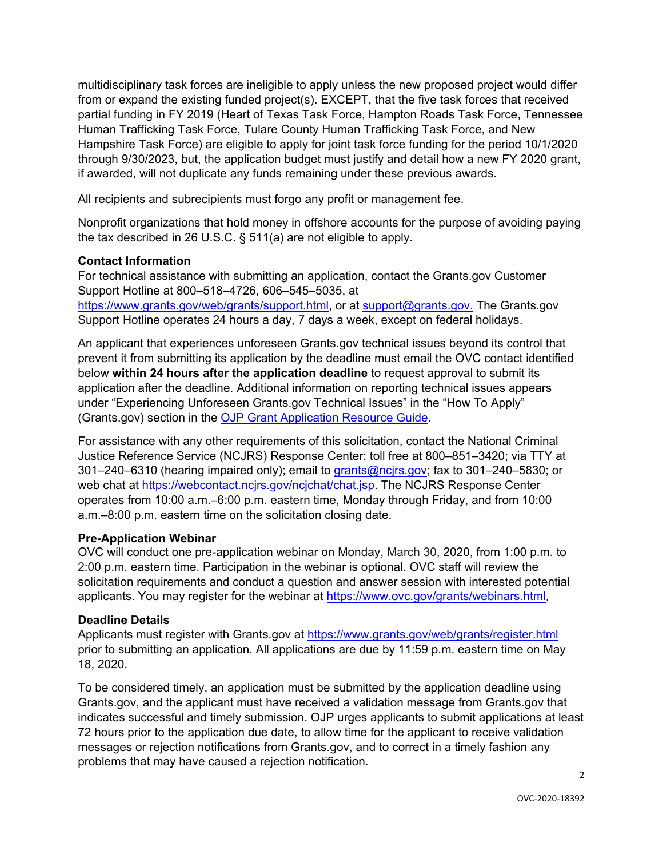multidisciplinary task forces are ineligible to apply unless the new proposed project would differ from or expand the existing funded project(s). EXCEPT, that the five task forces that received partial funding in FY 2019 (Heart of Texas Task Force, Hampton Roads Task Force, Tennessee Human Trafficking Task Force, Tulare County Human Trafficking Task Force, and New Hampshire Task Force) are eligible to apply for joint task force funding for the period 10/1/2020 through 9/30/2023, but, the application budget must justify and detail how a new FY 2020 grant, if awarded, will not duplicate any funds remaining under these previous awards.

All recipients and subrecipients must forgo any profit or management fee.

Nonprofit organizations that hold money in offshore accounts for the purpose of avoiding paying the tax described in 26 U.S.C. § 511(a) are not eligible to apply.

# **Contact Information**

For technical assistance with submitting an application, contact the Grants.gov Customer Support Hotline at 800–518–4726, 606–545–5035, at [https://www.grants.gov/web/grants/support.html,](https://www.grants.gov/web/grants/support.html) or at [support@grants.gov.](mailto:support@grants.gov) The Grants.gov Support Hotline operates 24 hours a day, 7 days a week, except on federal holidays.

An applicant that experiences unforeseen Grants.gov technical issues beyond its control that prevent it from submitting its application by the deadline must email the OVC contact identified below **within 24 hours after the application deadline** to request approval to submit its application after the deadline. Additional information on reporting technical issues appears under "Experiencing Unforeseen Grants.gov Technical Issues" in the "How To Apply" (Grants.gov) section in the [OJP Grant Application Resource Guide.](https://www.ojp.gov/funding/Apply/Resources/Grant-App-Resource-Guide.htm#howToApply)

For assistance with any other requirements of this solicitation, contact the National Criminal Justice Reference Service (NCJRS) Response Center: toll free at 800–851–3420; via TTY at 301–240–6310 (hearing impaired only); email to grants@ncirs.gov; fax to 301–240–5830; or web chat at https://webcontact.ncjrs.gov/ncjchat/chat.jsp. The NCJRS Response Center operates from 10:00 a.m.–6:00 p.m. eastern time, Monday through Friday, and from 10:00 a.m.–8:00 p.m. eastern time on the solicitation closing date.

# **Pre-Application Webinar**

OVC will conduct one pre-application webinar on Monday, March 30, 2020, from 1:00 p.m. to 2:00 p.m. eastern time. Participation in the webinar is optional. OVC staff will review the solicitation requirements and conduct a question and answer session with interested potential applicants. You may register for the webinar at [https://www.ovc.gov/grants/webinars.html.](https://www.ovc.gov/grants/webinars.html)

# **Deadline Details**

Applicants must register with Grants.gov at<https://www.grants.gov/web/grants/register.html> prior to submitting an application. All applications are due by 11:59 p.m. eastern time on May 18, 2020.

To be considered timely, an application must be submitted by the application deadline using Grants.gov, and the applicant must have received a validation message from Grants.gov that indicates successful and timely submission. OJP urges applicants to submit applications at least 72 hours prior to the application due date, to allow time for the applicant to receive validation messages or rejection notifications from Grants.gov, and to correct in a timely fashion any problems that may have caused a rejection notification.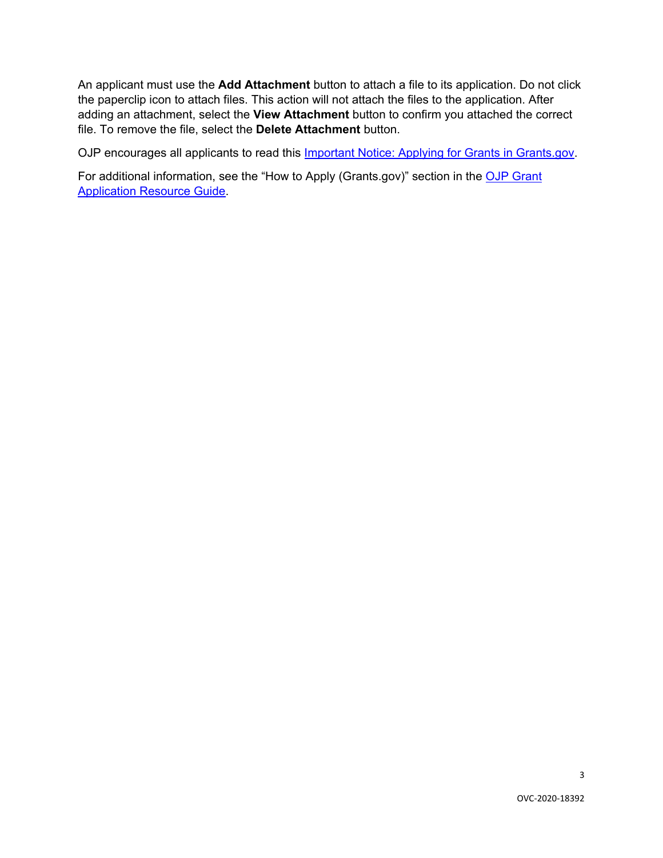An applicant must use the **Add Attachment** button to attach a file to its application. Do not click the paperclip icon to attach files. This action will not attach the files to the application. After adding an attachment, select the **View Attachment** button to confirm you attached the correct file. To remove the file, select the **Delete Attachment** button.

OJP encourages all applicants to read this [Important Notice: Applying for Grants in Grants.gov.](https://ojp.gov/funding/Apply/Grants-govInfo.htm)

For additional information, see the "How to Apply (Grants.gov)" section in the OJP Grant [Application Resource Guide.](https://www.ojp.gov/funding/Apply/Resources/Grant-App-Resource-Guide.htm#howToApply)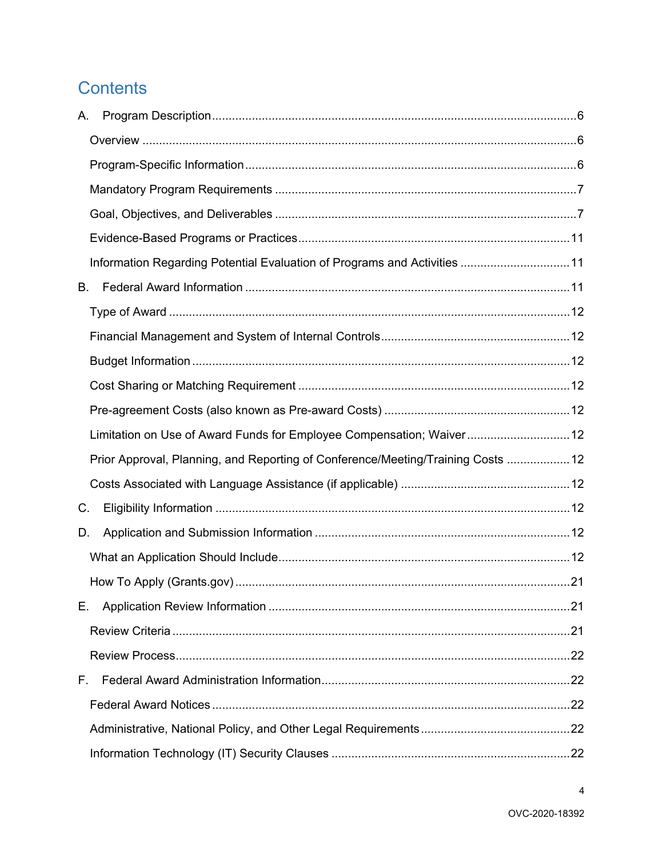# **Contents**

| Α. |                                                                                 |  |
|----|---------------------------------------------------------------------------------|--|
|    |                                                                                 |  |
|    |                                                                                 |  |
|    |                                                                                 |  |
|    |                                                                                 |  |
|    |                                                                                 |  |
|    | Information Regarding Potential Evaluation of Programs and Activities 11        |  |
| В. |                                                                                 |  |
|    |                                                                                 |  |
|    |                                                                                 |  |
|    |                                                                                 |  |
|    |                                                                                 |  |
|    |                                                                                 |  |
|    | Limitation on Use of Award Funds for Employee Compensation; Waiver12            |  |
|    | Prior Approval, Planning, and Reporting of Conference/Meeting/Training Costs 12 |  |
|    |                                                                                 |  |
| C. |                                                                                 |  |
| D. |                                                                                 |  |
|    |                                                                                 |  |
|    |                                                                                 |  |
| Е. |                                                                                 |  |
|    |                                                                                 |  |
|    |                                                                                 |  |
| F. |                                                                                 |  |
|    |                                                                                 |  |
|    |                                                                                 |  |
|    |                                                                                 |  |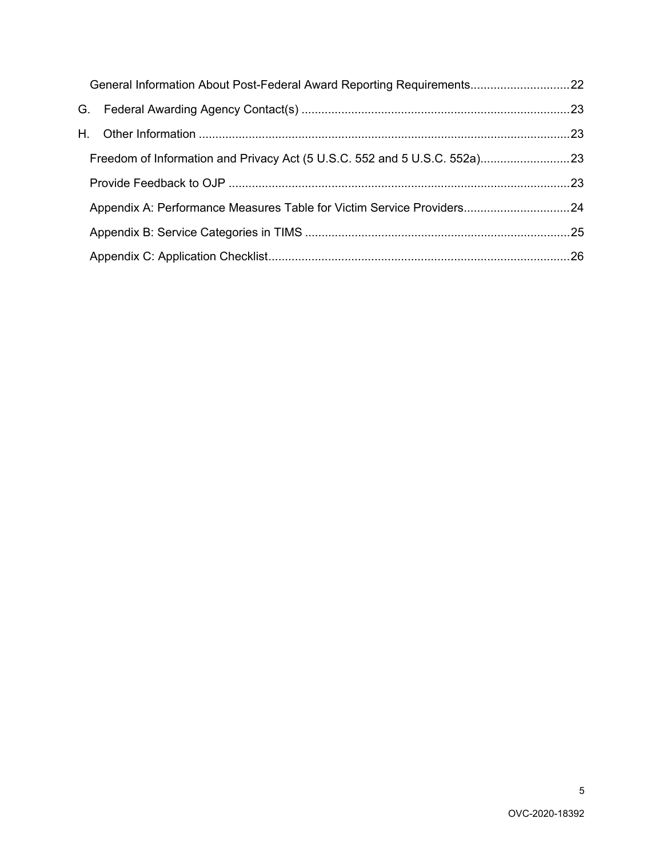| General Information About Post-Federal Award Reporting Requirements22 |  |
|-----------------------------------------------------------------------|--|
|                                                                       |  |
|                                                                       |  |
|                                                                       |  |
|                                                                       |  |
| Appendix A: Performance Measures Table for Victim Service Providers24 |  |
|                                                                       |  |
|                                                                       |  |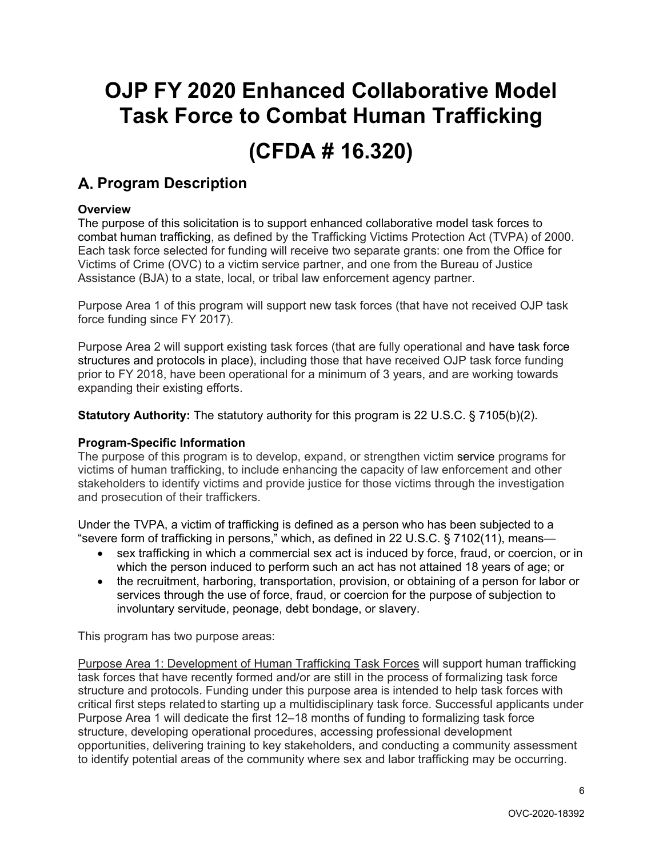# **OJP FY 2020 Enhanced Collaborative Model Task Force to Combat Human Trafficking**

# **(CFDA # 16.320)**

# <span id="page-5-0"></span>**Program Description**

# <span id="page-5-1"></span>**Overview**

The purpose of this solicitation is to support enhanced collaborative model task forces to combat human trafficking, as defined by the Trafficking Victims Protection Act (TVPA) of 2000. Each task force selected for funding will receive two separate grants: one from the Office for Victims of Crime (OVC) to a victim service partner, and one from the Bureau of Justice Assistance (BJA) to a state, local, or tribal law enforcement agency partner.

Purpose Area 1 of this program will support new task forces (that have not received OJP task force funding since FY 2017).

Purpose Area 2 will support existing task forces (that are fully operational and have task force structures and protocols in place), including those that have received OJP task force funding prior to FY 2018, have been operational for a minimum of 3 years, and are working towards expanding their existing efforts.

**Statutory Authority:** The statutory authority for this program is 22 U.S.C. § 7105(b)(2).

# <span id="page-5-2"></span>**Program-Specific Information**

The purpose of this program is to develop, expand, or strengthen victim service programs for victims of human trafficking, to include enhancing the capacity of law enforcement and other stakeholders to identify victims and provide justice for those victims through the investigation and prosecution of their traffickers.

Under the TVPA, a victim of trafficking is defined as a person who has been subjected to a "severe form of trafficking in persons," which, as defined in 22 U.S.C. § 7102(11), means—

- sex trafficking in which a commercial sex act is induced by force, fraud, or coercion, or in which the person induced to perform such an act has not attained 18 years of age; or
- the recruitment, harboring, transportation, provision, or obtaining of a person for labor or services through the use of force, fraud, or coercion for the purpose of subjection to involuntary servitude, peonage, debt bondage, or slavery.

This program has two purpose areas:

Purpose Area 1: Development of Human Trafficking Task Forces will support human trafficking task forces that have recently formed and/or are still in the process of formalizing task force structure and protocols. Funding under this purpose area is intended to help task forces with critical first steps related to starting up a multidisciplinary task force. Successful applicants under Purpose Area 1 will dedicate the first 12–18 months of funding to formalizing task force structure, developing operational procedures, accessing professional development opportunities, delivering training to key stakeholders, and conducting a community assessment to identify potential areas of the community where sex and labor trafficking may be occurring.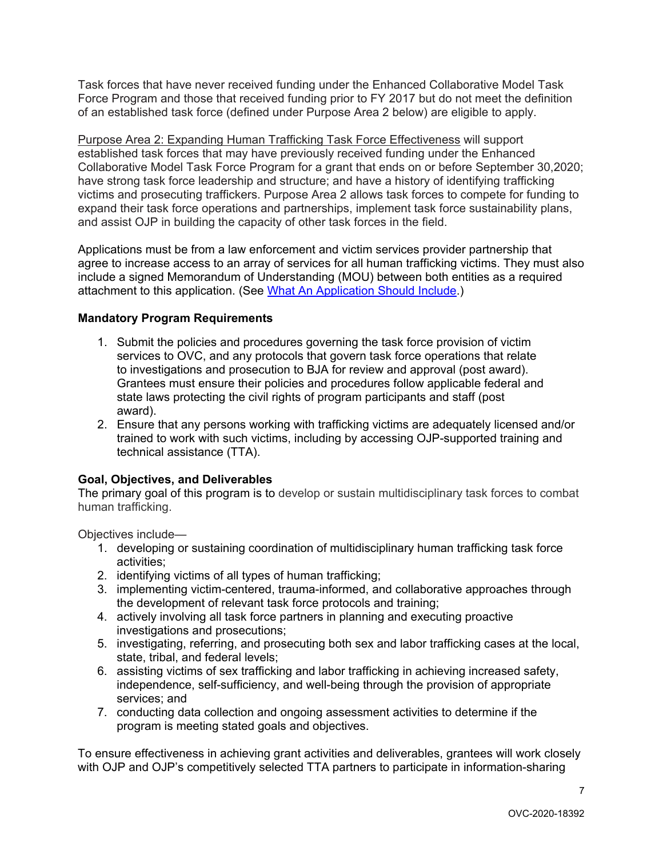Task forces that have never received funding under the Enhanced Collaborative Model Task Force Program and those that received funding prior to FY 2017 but do not meet the definition of an established task force (defined under Purpose Area 2 below) are eligible to apply.

Purpose Area 2: Expanding Human Trafficking Task Force Effectiveness will support established task forces that may have previously received funding under the Enhanced Collaborative Model Task Force Program for a grant that ends on or before September 30,2020; have strong task force leadership and structure; and have a history of identifying trafficking victims and prosecuting traffickers. Purpose Area 2 allows task forces to compete for funding to expand their task force operations and partnerships, implement task force sustainability plans, and assist OJP in building the capacity of other task forces in the field.

Applications must be from a law enforcement and victim services provider partnership that agree to increase access to an array of services for all human trafficking victims. They must also include a signed Memorandum of Understanding (MOU) between both entities as a required attachment to this application. (See [What An Application Should Include.](#page-11-11))

# <span id="page-6-0"></span>**Mandatory Program Requirements**

- 1. Submit the policies and procedures governing the task force provision of victim services to OVC, and any protocols that govern task force operations that relate to investigations and prosecution to BJA for review and approval (post award). Grantees must ensure their policies and procedures follow applicable federal and state laws protecting the civil rights of program participants and staff (post award).
- 2. Ensure that any persons working with trafficking victims are adequately licensed and/or trained to work with such victims, including by accessing OJP-supported training and technical assistance (TTA).

# <span id="page-6-1"></span>**Goal, Objectives, and Deliverables**

The primary goal of this program is to develop or sustain multidisciplinary task forces to combat human trafficking.

Objectives include—

- 1. developing or sustaining coordination of multidisciplinary human trafficking task force activities;
- 2. identifying victims of all types of human trafficking;
- 3. implementing victim-centered, trauma-informed, and collaborative approaches through the development of relevant task force protocols and training;
- 4. actively involving all task force partners in planning and executing proactive investigations and prosecutions;
- 5. investigating, referring, and prosecuting both sex and labor trafficking cases at the local, state, tribal, and federal levels;
- 6. assisting victims of sex trafficking and labor trafficking in achieving increased safety, independence, self-sufficiency, and well-being through the provision of appropriate services; and
- 7. conducting data collection and ongoing assessment activities to determine if the program is meeting stated goals and objectives.

To ensure effectiveness in achieving grant activities and deliverables, grantees will work closely with OJP and OJP's competitively selected TTA partners to participate in information-sharing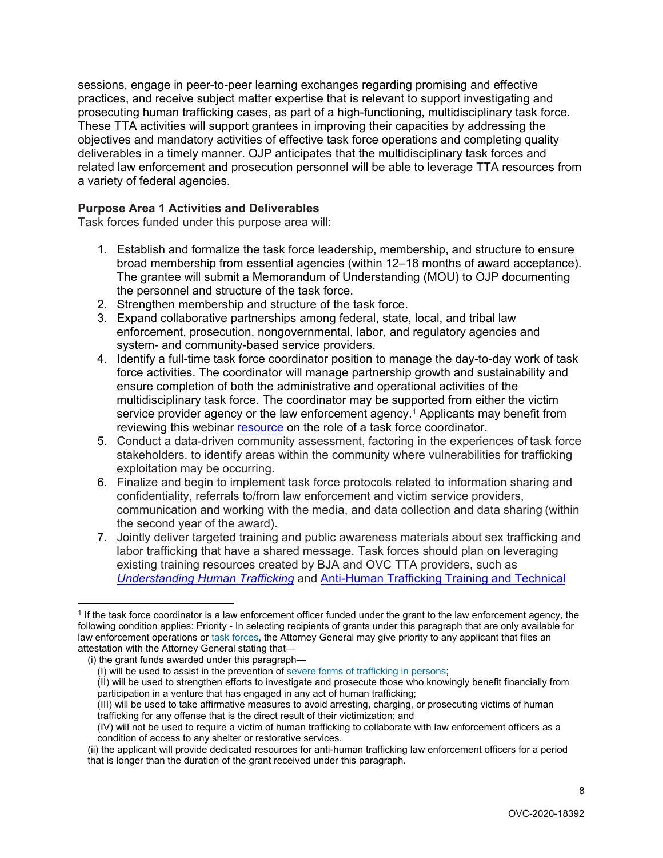sessions, engage in peer-to-peer learning exchanges regarding promising and effective practices, and receive subject matter expertise that is relevant to support investigating and prosecuting human trafficking cases, as part of a high-functioning, multidisciplinary task force. These TTA activities will support grantees in improving their capacities by addressing the objectives and mandatory activities of effective task force operations and completing quality deliverables in a timely manner. OJP anticipates that the multidisciplinary task forces and related law enforcement and prosecution personnel will be able to leverage TTA resources from a variety of federal agencies.

# **Purpose Area 1 Activities and Deliverables**

Task forces funded under this purpose area will:

- 1. Establish and formalize the task force leadership, membership, and structure to ensure broad membership from essential agencies (within 12–18 months of award acceptance). The grantee will submit a Memorandum of Understanding (MOU) to OJP documenting the personnel and structure of the task force.
- 2. Strengthen membership and structure of the task force.
- 3. Expand collaborative partnerships among federal, state, local, and tribal law enforcement, prosecution, nongovernmental, labor, and regulatory agencies and system- and community-based service providers.
- 4. Identify a full-time task force coordinator position to manage the day-to-day work of task force activities. The coordinator will manage partnership growth and sustainability and ensure completion of both the administrative and operational activities of the multidisciplinary task force. The coordinator may be supported from either the victim service provider agency or the law enforcement agency. [1](#page-7-0) Applicants may benefit from reviewing this webinar [resource](http://elearning-courses.net/iacp/html/index.cfm) on the role of a task force coordinator.
- 5. Conduct a data-driven community assessment, factoring in the experiences of task force stakeholders, to identify areas within the community where vulnerabilities for trafficking exploitation may be occurring.
- 6. Finalize and begin to implement task force protocols related to information sharing and confidentiality, referrals to/from law enforcement and victim service providers, communication and working with the media, and data collection and data sharing (within the second year of the award).
- 7. Jointly deliver targeted training and public awareness materials about sex trafficking and labor trafficking that have a shared message. Task forces should plan on leveraging existing training resources created by BJA and OVC TTA providers, such as *[Understanding Human Trafficking](https://www.ovcttac.gov/understandinghumantrafficking/)* and [Anti-Human Trafficking Training and Technical](https://www.theiacp.org/projects/anti-human-trafficking-training-and-technical-assistance)

(II) will be used to strengthen efforts to investigate and prosecute those who knowingly benefit financially from participation in a venture that has engaged in any act of human trafficking;

<span id="page-7-0"></span><sup>1</sup> If the task force coordinator is a law enforcement officer funded under the grant to the law enforcement agency, the following condition applies: Priority - In selecting recipients of grants under this paragraph that are only available for law enforcement operations or [task forces,](https://www.govinfo.gov/content/pkg/USCODE-2018-title22/pdf/USCODE-2018-title22-chap78-sec7105.pdf) the Attorney General may give priority to any applicant that files an attestation with the Attorney General stating that—

<sup>(</sup>i) the grant funds awarded under this paragraph—

<sup>(</sup>I) will be used to assist in the prevention of [severe forms of trafficking in persons;](https://www.law.cornell.edu/definitions/uscode.php?width=840&height=800&iframe=true&def_id=22-USC-406174299-1459509958&term_occur=999&term_src=title:22:chapter:78:section:7105)

<sup>(</sup>III) will be used to take affirmative measures to avoid arresting, charging, or prosecuting victims of human trafficking for any offense that is the direct result of their victimization; and

<sup>(</sup>IV) will not be used to require a victim of human trafficking to collaborate with law enforcement officers as a condition of access to any shelter or restorative services.

<sup>(</sup>ii) the applicant will provide dedicated resources for anti-human trafficking law enforcement officers for a period that is longer than the duration of the grant received under this paragraph.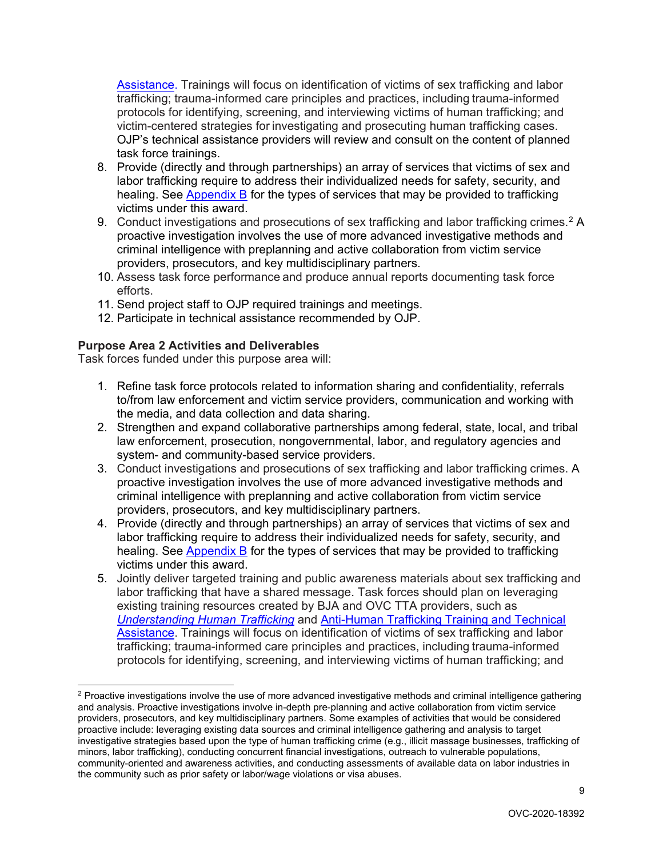[Assistance.](https://www.theiacp.org/projects/anti-human-trafficking-training-and-technical-assistance) Trainings will focus on identification of victims of sex trafficking and labor trafficking; trauma-informed care principles and practices, including trauma-informed protocols for identifying, screening, and interviewing victims of human trafficking; and victim-centered strategies for investigating and prosecuting human trafficking cases. OJP's technical assistance providers will review and consult on the content of planned task force trainings.

- 8. Provide (directly and through partnerships) an array of services that victims of sex and labor trafficking require to address their individualized needs for safety, security, and healing. See [Appendix B](#page-24-0) for the types of services that may be provided to trafficking victims under this award.
- 9. Conduct investigations and prosecutions of sex trafficking and labor trafficking crimes.<sup>[2](#page-8-0)</sup> A proactive investigation involves the use of more advanced investigative methods and criminal intelligence with preplanning and active collaboration from victim service providers, prosecutors, and key multidisciplinary partners.
- 10. Assess task force performance and produce annual reports documenting task force efforts.
- 11. Send project staff to OJP required trainings and meetings.
- 12. Participate in technical assistance recommended by OJP.

# **Purpose Area 2 Activities and Deliverables**

Task forces funded under this purpose area will:

- 1. Refine task force protocols related to information sharing and confidentiality, referrals to/from law enforcement and victim service providers, communication and working with the media, and data collection and data sharing.
- 2. Strengthen and expand collaborative partnerships among federal, state, local, and tribal law enforcement, prosecution, nongovernmental, labor, and regulatory agencies and system- and community-based service providers.
- 3. Conduct investigations and prosecutions of sex trafficking and labor trafficking crimes. A proactive investigation involves the use of more advanced investigative methods and criminal intelligence with preplanning and active collaboration from victim service providers, prosecutors, and key multidisciplinary partners.
- 4. Provide (directly and through partnerships) an array of services that victims of sex and labor trafficking require to address their individualized needs for safety, security, and healing. See [Appendix B](#page-24-0) for the types of services that may be provided to trafficking victims under this award.
- 5. Jointly deliver targeted training and public awareness materials about sex trafficking and labor trafficking that have a shared message. Task forces should plan on leveraging existing training resources created by BJA and OVC TTA providers, such as *[Understanding Human Trafficking](https://www.ovcttac.gov/understandinghumantrafficking/)* and [Anti-Human Trafficking Training and Technical](https://www.theiacp.org/projects/anti-human-trafficking-training-and-technical-assistance) [Assistance.](https://www.theiacp.org/projects/anti-human-trafficking-training-and-technical-assistance) Trainings will focus on identification of victims of sex trafficking and labor trafficking; trauma-informed care principles and practices, including trauma-informed protocols for identifying, screening, and interviewing victims of human trafficking; and

<span id="page-8-0"></span><sup>&</sup>lt;sup>2</sup> Proactive investigations involve the use of more advanced investigative methods and criminal intelligence gathering and analysis. Proactive investigations involve in-depth pre-planning and active collaboration from victim service providers, prosecutors, and key multidisciplinary partners. Some examples of activities that would be considered proactive include: leveraging existing data sources and criminal intelligence gathering and analysis to target investigative strategies based upon the type of human trafficking crime (e.g., illicit massage businesses, trafficking of minors, labor trafficking), conducting concurrent financial investigations, outreach to vulnerable populations, community-oriented and awareness activities, and conducting assessments of available data on labor industries in the community such as prior safety or labor/wage violations or visa abuses.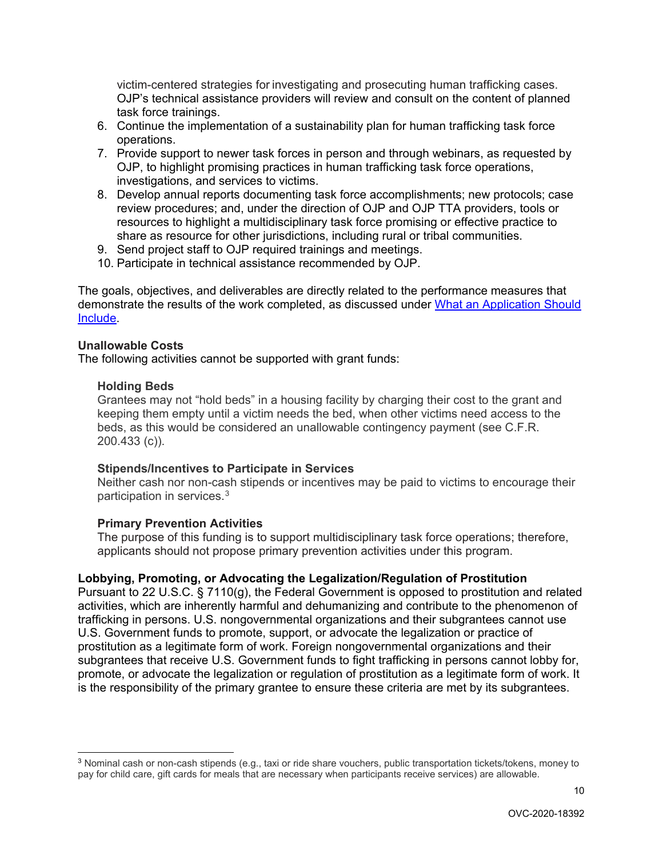victim-centered strategies for investigating and prosecuting human trafficking cases. OJP's technical assistance providers will review and consult on the content of planned task force trainings.

- 6. Continue the implementation of a sustainability plan for human trafficking task force operations.
- 7. Provide support to newer task forces in person and through webinars, as requested by OJP, to highlight promising practices in human trafficking task force operations, investigations, and services to victims.
- 8. Develop annual reports documenting task force accomplishments; new protocols; case review procedures; and, under the direction of OJP and OJP TTA providers, tools or resources to highlight a multidisciplinary task force promising or effective practice to share as resource for other jurisdictions, including rural or tribal communities.
- 9. Send project staff to OJP required trainings and meetings.
- 10. Participate in technical assistance recommended by OJP.

The goals, objectives, and deliverables are directly related to the performance measures that demonstrate the results of the work completed, as discussed under [What an Application Should](#page-11-11)  [Include.](#page-11-11)

#### **Unallowable Costs**

The following activities cannot be supported with grant funds:

#### **Holding Beds**

Grantees may not "hold beds" in a housing facility by charging their cost to the grant and keeping them empty until a victim needs the bed, when other victims need access to the beds, as this would be considered an unallowable contingency payment (see C.F.R. 200.433 (c)).

#### **Stipends/Incentives to Participate in Services**

Neither cash nor non-cash stipends or incentives may be paid to victims to encourage their participation in services.[3](#page-9-0)

#### **Primary Prevention Activities**

The purpose of this funding is to support multidisciplinary task force operations; therefore, applicants should not propose primary prevention activities under this program.

#### **Lobbying, Promoting, or Advocating the Legalization/Regulation of Prostitution**

Pursuant to 22 U.S.C. § 7110(g), the Federal Government is opposed to prostitution and related activities, which are inherently harmful and dehumanizing and contribute to the phenomenon of trafficking in persons. U.S. nongovernmental organizations and their subgrantees cannot use U.S. Government funds to promote, support, or advocate the legalization or practice of prostitution as a legitimate form of work. Foreign nongovernmental organizations and their subgrantees that receive U.S. Government funds to fight trafficking in persons cannot lobby for, promote, or advocate the legalization or regulation of prostitution as a legitimate form of work. It is the responsibility of the primary grantee to ensure these criteria are met by its subgrantees.

<span id="page-9-0"></span> <sup>3</sup> Nominal cash or non-cash stipends (e.g., taxi or ride share vouchers, public transportation tickets/tokens, money to pay for child care, gift cards for meals that are necessary when participants receive services) are allowable.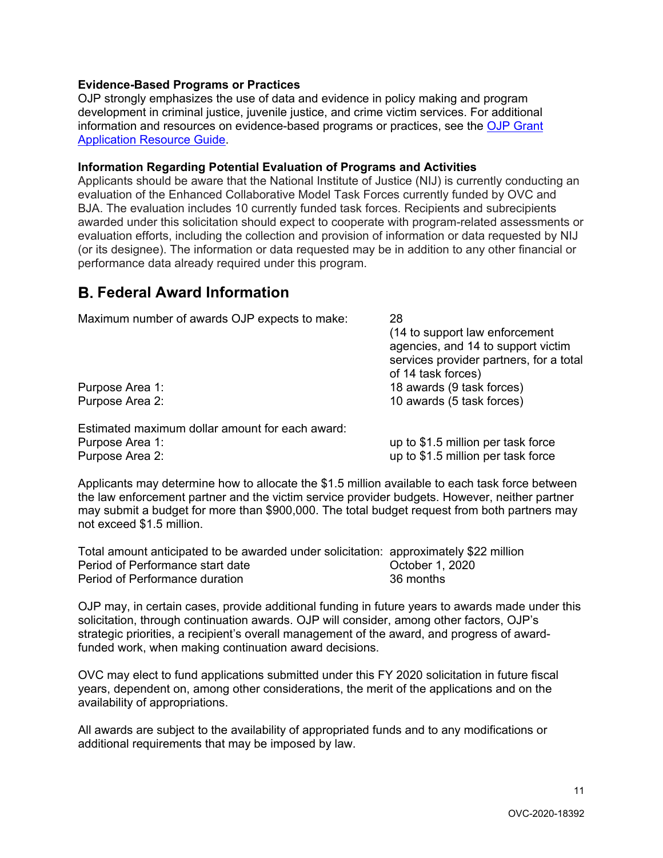## <span id="page-10-0"></span>**Evidence-Based Programs or Practices**

OJP strongly emphasizes the use of data and evidence in policy making and program development in criminal justice, juvenile justice, and crime victim services. For additional information and resources on evidence-based programs or practices, see the [OJP Grant](https://www.ojp.gov/funding/Apply/Resources/Grant-App-Resource-Guide.htm#evidenceBased)  [Application Resource Guide.](https://www.ojp.gov/funding/Apply/Resources/Grant-App-Resource-Guide.htm#evidenceBased)

#### <span id="page-10-1"></span>**Information Regarding Potential Evaluation of Programs and Activities**

Applicants should be aware that the National Institute of Justice (NIJ) is currently conducting an evaluation of the Enhanced Collaborative Model Task Forces currently funded by OVC and BJA. The evaluation includes 10 currently funded task forces. Recipients and subrecipients awarded under this solicitation should expect to cooperate with program-related assessments or evaluation efforts, including the collection and provision of information or data requested by NIJ (or its designee). The information or data requested may be in addition to any other financial or performance data already required under this program.

# <span id="page-10-2"></span>**Federal Award Information**

Maximum number of awards OJP expects to make: 28

(14 to support law enforcement agencies, and 14 to support victim services provider partners, for a total of 14 task forces) Purpose Area 1: 18 awards (9 task forces) Purpose Area 2: 10 awards (5 task forces)

Estimated maximum dollar amount for each award: Purpose Area 1: up to \$1.5 million per task force Purpose Area 2: up to \$1.5 million per task force

Applicants may determine how to allocate the \$1.5 million available to each task force between the law enforcement partner and the victim service provider budgets. However, neither partner may submit a budget for more than \$900,000. The total budget request from both partners may not exceed \$1.5 million.

Total amount anticipated to be awarded under solicitation: approximately \$22 million Period of Performance start date **Department Controller** Cortober 1, 2020 Period of Performance duration 36 months

OJP may, in certain cases, provide additional funding in future years to awards made under this solicitation, through continuation awards. OJP will consider, among other factors, OJP's strategic priorities, a recipient's overall management of the award, and progress of awardfunded work, when making continuation award decisions.

OVC may elect to fund applications submitted under this FY 2020 solicitation in future fiscal years, dependent on, among other considerations, the merit of the applications and on the availability of appropriations.

All awards are subject to the availability of appropriated funds and to any modifications or additional requirements that may be imposed by law.

11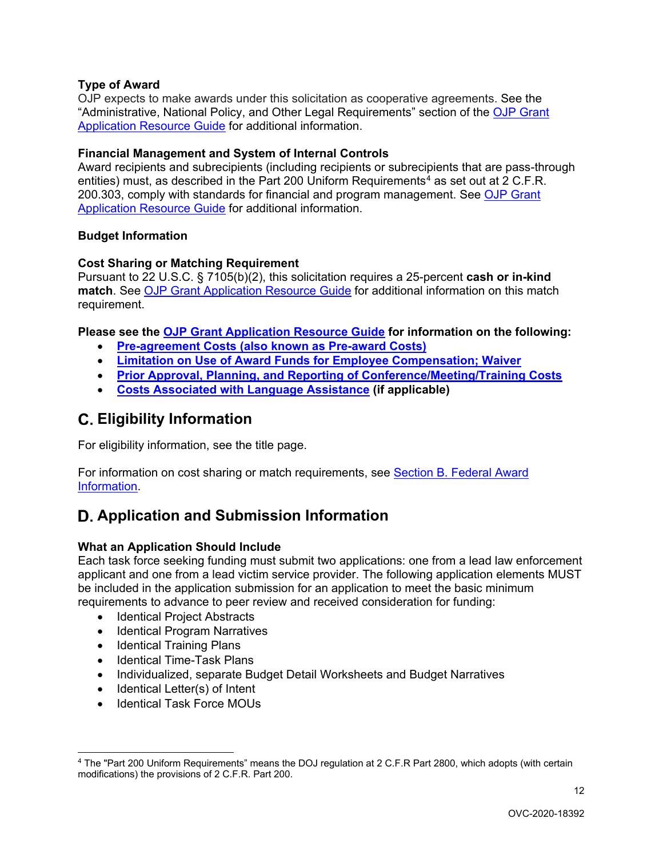# <span id="page-11-0"></span>**Type of Award**

OJP expects to make awards under this solicitation as cooperative agreements. See the "Administrative, National Policy, and Other Legal Requirements" section of the [OJP Grant](https://www.ojp.gov/funding/Apply/Resources/Grant-App-Resource-Guide.htm#otherLegalRequirements)  [Application Resource Guide](https://www.ojp.gov/funding/Apply/Resources/Grant-App-Resource-Guide.htm#otherLegalRequirements) for additional information.

#### <span id="page-11-1"></span>**Financial Management and System of Internal Controls**

Award recipients and subrecipients (including recipients or subrecipients that are pass-through entities) must, as described in the Part 200 Uniform Requirements<sup>[4](#page-11-13)</sup> as set out at 2 C.F.R. 200.303, comply with standards for financial and program management. See [OJP Grant](https://www.ojp.gov/funding/Apply/Resources/Grant-App-Resource-Guide.htm#financialManagement)  [Application Resource Guide](https://www.ojp.gov/funding/Apply/Resources/Grant-App-Resource-Guide.htm#financialManagement) for additional information.

# <span id="page-11-12"></span><span id="page-11-2"></span>**Budget Information**

#### <span id="page-11-3"></span>**Cost Sharing or Matching Requirement**

Pursuant to 22 U.S.C. § 7105(b)(2), this solicitation requires a 25-percent **cash or in-kind match**. See [OJP Grant Application Resource](https://www.ojp.gov/funding/Apply/Resources/Grant-App-Resource-Guide.htm#costSharing) Guide for additional information on this match requirement.

#### **Please see the [OJP Grant Application Resource Guide](https://ojp.gov/funding/Apply/Resources/Grant-App-Resource-Guide.htm) for information on the following:**

- <span id="page-11-4"></span>• **[Pre-agreement Costs \(also known as Pre-award Costs\)](https://www.ojp.gov/funding/Apply/Resources/Grant-App-Resource-Guide.htm#pre-agreement)**
- <span id="page-11-5"></span>• **Limitation [on Use of Award Funds for Employee Compensation; Waiver](https://www.ojp.gov/funding/Apply/Resources/Grant-App-Resource-Guide.htm#UseOfAwardFunds)**
- <span id="page-11-6"></span>• **[Prior Approval, Planning, and Reporting of Conference/Meeting/Training Costs](https://www.ojp.gov/funding/Apply/Resources/Grant-App-Resource-Guide.htm#reportingCosts)**
- <span id="page-11-7"></span>• **[Costs Associated with Language Assistance](https://www.ojp.gov/funding/Apply/Resources/Grant-App-Resource-Guide.htm#languageAssistance) (if applicable)**

# <span id="page-11-8"></span>**Eligibility Information**

For eligibility information, see the title page.

For information on cost sharing or match requirements, see [Section B. Federal Award](#page-11-12)  [Information.](#page-11-12)

# <span id="page-11-11"></span><span id="page-11-9"></span>**Application and Submission Information**

# <span id="page-11-10"></span>**What an Application Should Include**

Each task force seeking funding must submit two applications: one from a lead law enforcement applicant and one from a lead victim service provider. The following application elements MUST be included in the application submission for an application to meet the basic minimum requirements to advance to peer review and received consideration for funding:

- Identical Project Abstracts
- Identical Program Narratives
- Identical Training Plans
- Identical Time-Task Plans
- Individualized, separate Budget Detail Worksheets and Budget Narratives
- Identical Letter(s) of Intent
- Identical Task Force MOUs

<span id="page-11-13"></span> <sup>4</sup> The "Part 200 Uniform Requirements" means the DOJ regulation at 2 C.F.R Part 2800, which adopts (with certain modifications) the provisions of 2 C.F.R. Part 200.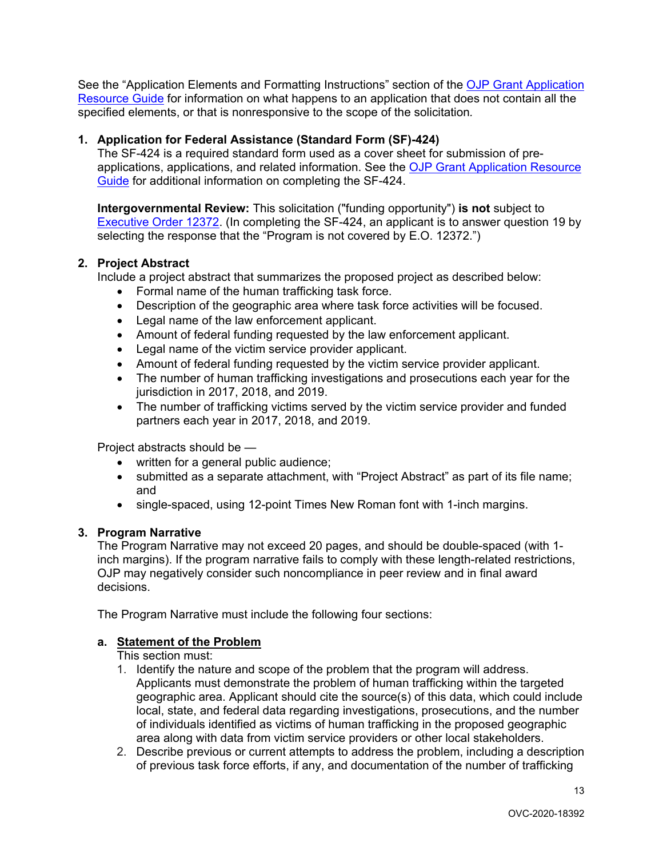See the "Application Elements and Formatting Instructions" section of the [OJP Grant Application](https://www.ojp.gov/funding/Apply/Resources/Grant-App-Resource-Guide.htm#formatInstructions)  [Resource Guide](https://www.ojp.gov/funding/Apply/Resources/Grant-App-Resource-Guide.htm#formatInstructions) for information on what happens to an application that does not contain all the specified elements, or that is nonresponsive to the scope of the solicitation*.*

# **1. Application for Federal Assistance (Standard Form (SF)-424)**

The SF-424 is a required standard form used as a cover sheet for submission of preapplications, applications, and related information. See the [OJP Grant Application Resource](https://www.ojp.gov/funding/Apply/Resources/Grant-App-Resource-Guide.htm#completeApplication)  [Guide](https://www.ojp.gov/funding/Apply/Resources/Grant-App-Resource-Guide.htm#completeApplication) for additional information on completing the SF-424.

**Intergovernmental Review:** This solicitation ("funding opportunity") **is not** subject to [Executive Order 12372.](https://www.archives.gov/federal-register/codification/executive-order/12372.html) (In completing the SF-424, an applicant is to answer question 19 by selecting the response that the "Program is not covered by E.O. 12372.")

# **2. Project Abstract**

Include a project abstract that summarizes the proposed project as described below:

- Formal name of the human trafficking task force.
- Description of the geographic area where task force activities will be focused.
- Legal name of the law enforcement applicant.
- Amount of federal funding requested by the law enforcement applicant.
- Legal name of the victim service provider applicant.
- Amount of federal funding requested by the victim service provider applicant.
- The number of human trafficking investigations and prosecutions each year for the jurisdiction in 2017, 2018, and 2019.
- The number of trafficking victims served by the victim service provider and funded partners each year in 2017, 2018, and 2019.

Project abstracts should be —

- written for a general public audience;
- submitted as a separate attachment, with "Project Abstract" as part of its file name; and
- single-spaced, using 12-point Times New Roman font with 1-inch margins.

# **3. Program Narrative**

The Program Narrative may not exceed 20 pages, and should be double-spaced (with 1 inch margins). If the program narrative fails to comply with these length-related restrictions, OJP may negatively consider such noncompliance in peer review and in final award decisions.

The Program Narrative must include the following four sections:

# **a. Statement of the Problem**

This section must:

- 1. Identify the nature and scope of the problem that the program will address. Applicants must demonstrate the problem of human trafficking within the targeted geographic area. Applicant should cite the source(s) of this data, which could include local, state, and federal data regarding investigations, prosecutions, and the number of individuals identified as victims of human trafficking in the proposed geographic area along with data from victim service providers or other local stakeholders.
- 2. Describe previous or current attempts to address the problem, including a description of previous task force efforts, if any, and documentation of the number of trafficking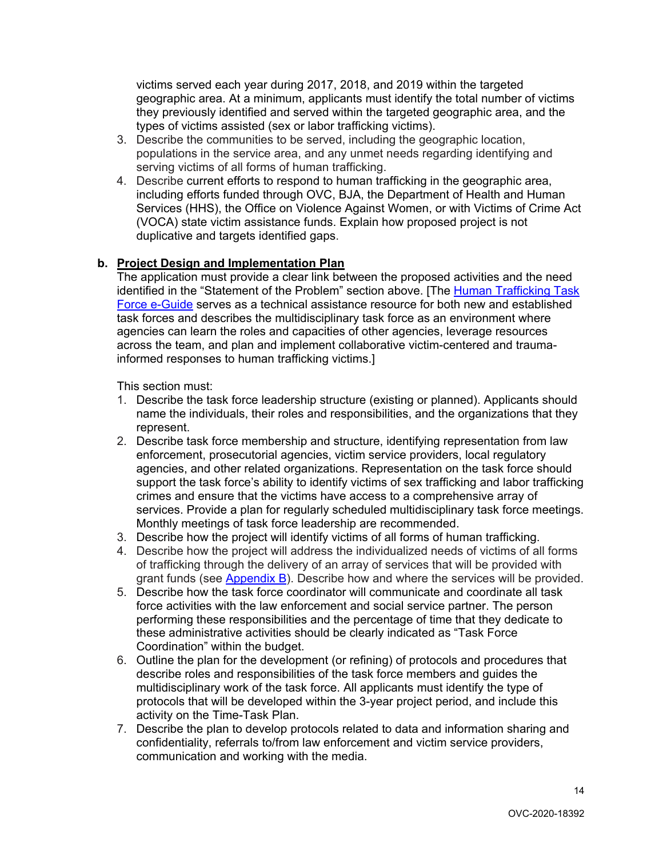victims served each year during 2017, 2018, and 2019 within the targeted geographic area. At a minimum, applicants must identify the total number of victims they previously identified and served within the targeted geographic area, and the types of victims assisted (sex or labor trafficking victims).

- 3. Describe the communities to be served, including the geographic location, populations in the service area, and any unmet needs regarding identifying and serving victims of all forms of human trafficking.
- 4. Describe current efforts to respond to human trafficking in the geographic area, including efforts funded through OVC, BJA, the Department of Health and Human Services (HHS), the Office on Violence Against Women, or with Victims of Crime Act (VOCA) state victim assistance funds. Explain how proposed project is not duplicative and targets identified gaps.

# **b. Project Design and Implementation Plan**

The application must provide a clear link between the proposed activities and the need identified in the "Statement of the Problem" section above. [The Human Trafficking Task [Force e-Guide](https://www.ovcttac.gov/TaskForceGuide/eguide/) serves as a technical assistance resource for both new and established task forces and describes the multidisciplinary task force as an environment where agencies can learn the roles and capacities of other agencies, leverage resources across the team, and plan and implement collaborative victim-centered and traumainformed responses to human trafficking victims.]

This section must:

- 1. Describe the task force leadership structure (existing or planned). Applicants should name the individuals, their roles and responsibilities, and the organizations that they represent.
- 2. Describe task force membership and structure, identifying representation from law enforcement, prosecutorial agencies, victim service providers, local regulatory agencies, and other related organizations. Representation on the task force should support the task force's ability to identify victims of sex trafficking and labor trafficking crimes and ensure that the victims have access to a comprehensive array of services. Provide a plan for regularly scheduled multidisciplinary task force meetings. Monthly meetings of task force leadership are recommended.
- 3. Describe how the project will identify victims of all forms of human trafficking.
- 4. Describe how the project will address the individualized needs of victims of all forms of trafficking through the delivery of an array of services that will be provided with grant funds (see [Appendix B\)](#page-24-0). Describe how and where the services will be provided.
- 5. Describe how the task force coordinator will communicate and coordinate all task force activities with the law enforcement and social service partner. The person performing these responsibilities and the percentage of time that they dedicate to these administrative activities should be clearly indicated as "Task Force Coordination" within the budget.
- 6. Outline the plan for the development (or refining) of protocols and procedures that describe roles and responsibilities of the task force members and guides the multidisciplinary work of the task force. All applicants must identify the type of protocols that will be developed within the 3-year project period, and include this activity on the Time-Task Plan.
- 7. Describe the plan to develop protocols related to data and information sharing and confidentiality, referrals to/from law enforcement and victim service providers, communication and working with the media.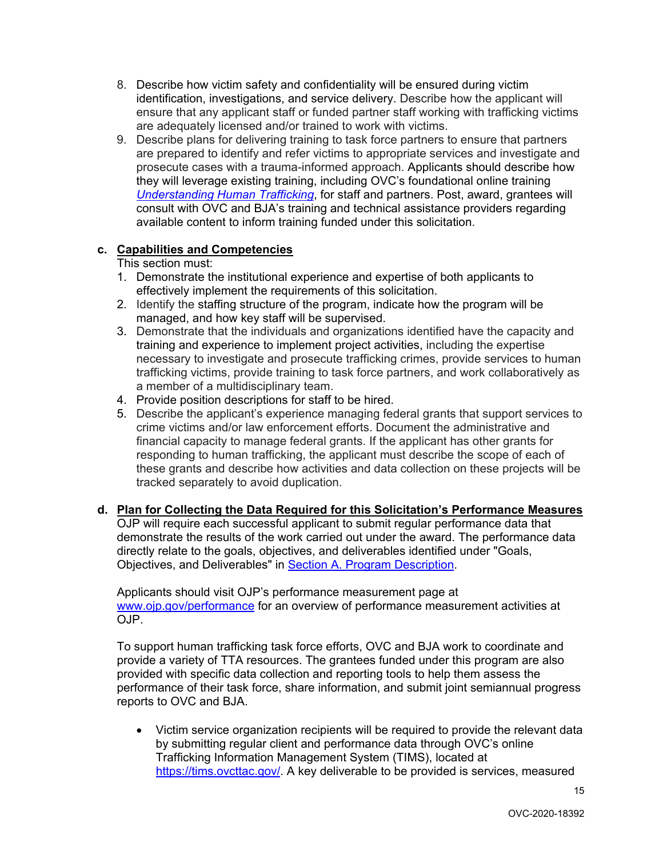- 8. Describe how victim safety and confidentiality will be ensured during victim identification, investigations, and service delivery. Describe how the applicant will ensure that any applicant staff or funded partner staff working with trafficking victims are adequately licensed and/or trained to work with victims.
- 9. Describe plans for delivering training to task force partners to ensure that partners are prepared to identify and refer victims to appropriate services and investigate and prosecute cases with a trauma-informed approach. Applicants should describe how they will leverage existing training, including OVC's foundational online training *[Understanding Human Trafficking](https://www.ovcttac.gov/understandinghumantrafficking/)*, for staff and partners. Post, award, grantees will consult with OVC and BJA's training and technical assistance providers regarding available content to inform training funded under this solicitation.

# **c. Capabilities and Competencies**

This section must:

- 1. Demonstrate the institutional experience and expertise of both applicants to effectively implement the requirements of this solicitation.
- 2. Identify the staffing structure of the program, indicate how the program will be managed, and how key staff will be supervised.
- 3. Demonstrate that the individuals and organizations identified have the capacity and training and experience to implement project activities, including the expertise necessary to investigate and prosecute trafficking crimes, provide services to human trafficking victims, provide training to task force partners, and work collaboratively as a member of a multidisciplinary team.
- 4. Provide position descriptions for staff to be hired.
- 5. Describe the applicant's experience managing federal grants that support services to crime victims and/or law enforcement efforts. Document the administrative and financial capacity to manage federal grants. If the applicant has other grants for responding to human trafficking, the applicant must describe the scope of each of these grants and describe how activities and data collection on these projects will be tracked separately to avoid duplication.
- **d. Plan for Collecting the Data Required for this Solicitation's Performance Measures** OJP will require each successful applicant to submit regular performance data that demonstrate the results of the work carried out under the award. The performance data directly relate to the goals, objectives, and deliverables identified under "Goals, Objectives, and Deliverables" in [Section A. Program Description.](#page-6-1)

Applicants should visit OJP's performance measurement page at [www.ojp.gov/performance](https://www.ojp.gov/performance) for an overview of performance measurement activities at OJP.

To support human trafficking task force efforts, OVC and BJA work to coordinate and provide a variety of TTA resources. The grantees funded under this program are also provided with specific data collection and reporting tools to help them assess the performance of their task force, share information, and submit joint semiannual progress reports to OVC and BJA.

• Victim service organization recipients will be required to provide the relevant data by submitting regular client and performance data through OVC's online Trafficking Information Management System (TIMS), located at [https://tims.ovcttac.gov/.](https://tims.ovcttac.gov/) A key deliverable to be provided is services, measured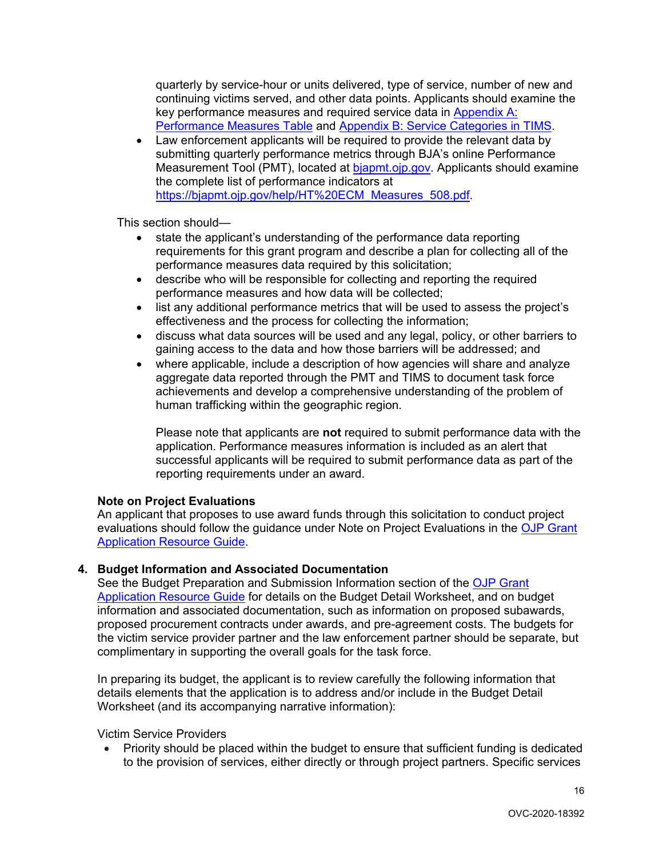quarterly by service-hour or units delivered, type of service, number of new and continuing victims served, and other data points. Applicants should examine the key performance measures and required service data in Appendix A: [Performance Measures Table](#page-23-0) and [Appendix B: Service Categories in TIMS.](#page-24-0)

• Law enforcement applicants will be required to provide the relevant data by submitting quarterly performance metrics through BJA's online Performance Measurement Tool (PMT), located at [bjapmt.ojp.gov.](https://bjapmt.ojp.gov/) Applicants should examine the complete list of performance indicators at [https://bjapmt.ojp.gov/help/HT%20ECM\\_Measures\\_508.pdf.](https://bjapmt.ojp.gov/help/HT%20ECM_Measures_508.pdf)

This section should—

- state the applicant's understanding of the performance data reporting requirements for this grant program and describe a plan for collecting all of the performance measures data required by this solicitation;
- describe who will be responsible for collecting and reporting the required performance measures and how data will be collected;
- list any additional performance metrics that will be used to assess the project's effectiveness and the process for collecting the information;
- discuss what data sources will be used and any legal, policy, or other barriers to gaining access to the data and how those barriers will be addressed; and
- where applicable, include a description of how agencies will share and analyze aggregate data reported through the PMT and TIMS to document task force achievements and develop a comprehensive understanding of the problem of human trafficking within the geographic region.

Please note that applicants are **not** required to submit performance data with the application. Performance measures information is included as an alert that successful applicants will be required to submit performance data as part of the reporting requirements under an award.

# **Note on Project Evaluations**

An applicant that proposes to use award funds through this solicitation to conduct project evaluations should follow the quidance under Note on Project Evaluations in the OJP Grant [Application Resource Guide.](https://www.ojp.gov/funding/Apply/Resources/Grant-App-Resource-Guide.htm#projectEvaluation)

# **4. Budget Information and Associated Documentation**

See the Budget Preparation and Submission Information section of the [OJP Grant](https://www.ojp.gov/funding/Apply/Resources/Grant-App-Resource-Guide.htm#budgetinfo)  [Application Resource Guide](https://www.ojp.gov/funding/Apply/Resources/Grant-App-Resource-Guide.htm#budgetinfo) for details on the Budget Detail Worksheet, and on budget information and associated documentation, such as information on proposed subawards, proposed procurement contracts under awards, and pre-agreement costs. The budgets for the victim service provider partner and the law enforcement partner should be separate, but complimentary in supporting the overall goals for the task force.

In preparing its budget, the applicant is to review carefully the following information that details elements that the application is to address and/or include in the Budget Detail Worksheet (and its accompanying narrative information):

Victim Service Providers

• Priority should be placed within the budget to ensure that sufficient funding is dedicated to the provision of services, either directly or through project partners. Specific services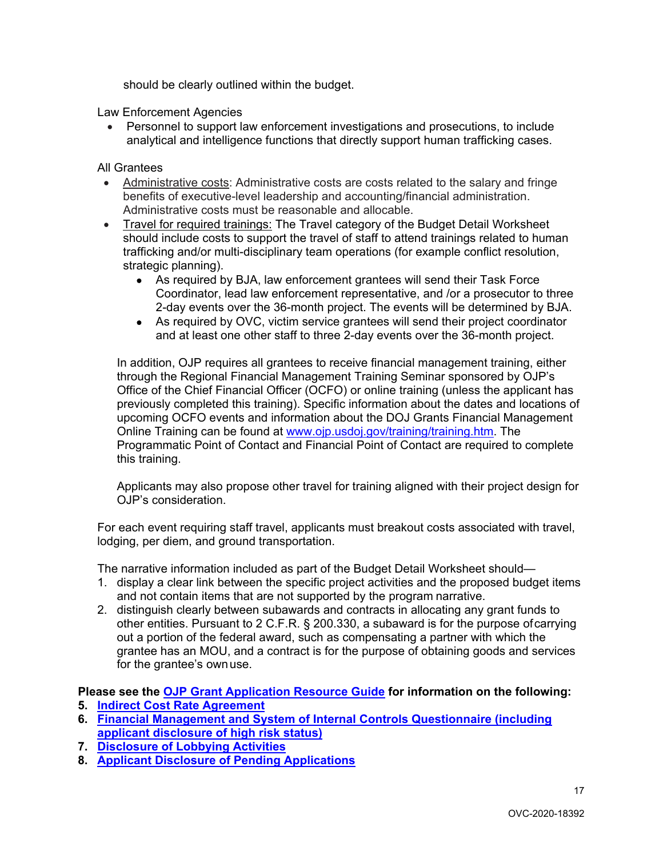should be clearly outlined within the budget.

Law Enforcement Agencies

• Personnel to support law enforcement investigations and prosecutions, to include analytical and intelligence functions that directly support human trafficking cases.

# All Grantees

- Administrative costs: Administrative costs are costs related to the salary and fringe benefits of executive-level leadership and accounting/financial administration. Administrative costs must be reasonable and allocable.
- Travel for required trainings: The Travel category of the Budget Detail Worksheet should include costs to support the travel of staff to attend trainings related to human trafficking and/or multi-disciplinary team operations (for example conflict resolution, strategic planning).
	- As required by BJA, law enforcement grantees will send their Task Force Coordinator, lead law enforcement representative, and /or a prosecutor to three 2-day events over the 36-month project. The events will be determined by BJA.
	- As required by OVC, victim service grantees will send their project coordinator and at least one other staff to three 2-day events over the 36-month project.

In addition, OJP requires all grantees to receive financial management training, either through the Regional Financial Management Training Seminar sponsored by OJP's Office of the Chief Financial Officer (OCFO) or online training (unless the applicant has previously completed this training). Specific information about the dates and locations of upcoming OCFO events and information about the DOJ Grants Financial Management Online Training can be found at [www.ojp.usdoj.gov/training/training.htm.](http://www.ojp.usdoj.gov/training/training.htm) The Programmatic Point of Contact and Financial Point of Contact are required to complete this training.

Applicants may also propose other travel for training aligned with their project design for OJP's consideration.

For each event requiring staff travel, applicants must breakout costs associated with travel, lodging, per diem, and ground transportation.

The narrative information included as part of the Budget Detail Worksheet should—

- 1. display a clear link between the specific project activities and the proposed budget items and not contain items that are not supported by the program narrative.
- 2. distinguish clearly between subawards and contracts in allocating any grant funds to other entities. Pursuant to 2 C.F.R. § 200.330, a subaward is for the purpose ofcarrying out a portion of the federal award, such as compensating a partner with which the grantee has an MOU, and a contract is for the purpose of obtaining goods and services for the grantee's ownuse.

**Please see the [OJP Grant Application Resource Guide](https://ojp.gov/funding/Apply/Resources/Grant-App-Resource-Guide.htm) for information on the following:**

- **5. [Indirect Cost Rate Agreement](https://www.ojp.gov/funding/Apply/Resources/Grant-App-Resource-Guide.htm#indirectCosts)**
- **6. [Financial Management and System of Internal Controls Questionnaire \(including](https://www.ojp.gov/funding/Apply/Resources/Grant-App-Resource-Guide.htm#internalControlsQuestionnaire)  [applicant disclosure of high risk status\)](https://www.ojp.gov/funding/Apply/Resources/Grant-App-Resource-Guide.htm#internalControlsQuestionnaire)**
- **7. [Disclosure of Lobbying Activities](https://www.ojp.gov/funding/Apply/Resources/Grant-App-Resource-Guide.htm#lobbyingActivity)**
- **8. [Applicant Disclosure of Pending Applications](https://www.ojp.gov/funding/Apply/Resources/Grant-App-Resource-Guide.htm#applicantDisclosure)**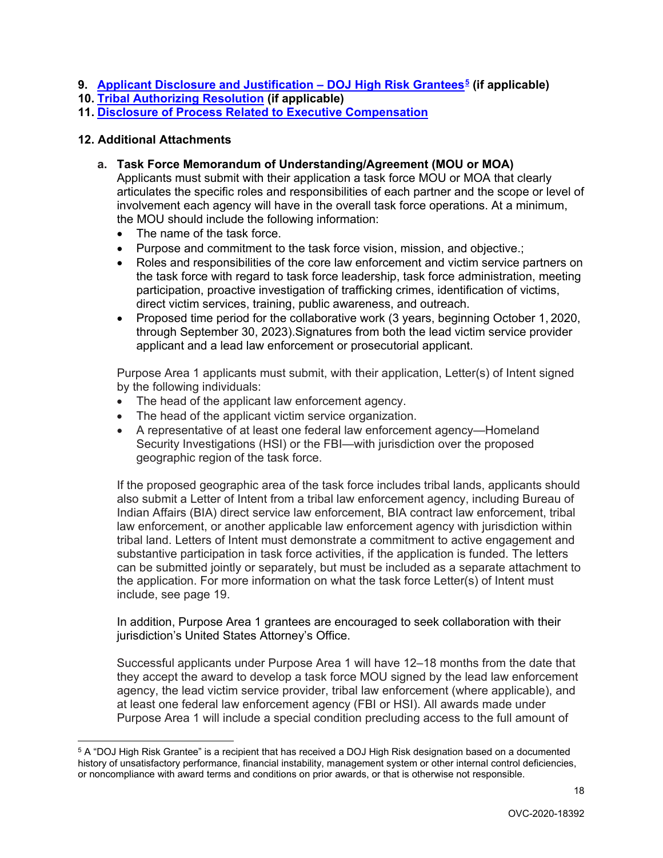- **9. [Applicant Disclosure and Justification –](https://www.ojp.gov/funding/Apply/Resources/Grant-App-Resource-Guide.htm#applicantDisclosureHR) DOJ High Risk Grantees[5](#page-17-0) (if applicable)**
- **10. [Tribal Authorizing Resolution](https://www.ojp.gov/funding/Apply/Resources/Grant-App-Resource-Guide.htm#tribalAuthorizing) (if applicable)**
- **11. [Disclosure of Process Related to Executive Compensation](https://www.ojp.gov/funding/Apply/Resources/Grant-App-Resource-Guide.htm#processDisclosure)**

# **12. Additional Attachments**

**a. Task Force Memorandum of Understanding/Agreement (MOU or MOA)**

Applicants must submit with their application a task force MOU or MOA that clearly articulates the specific roles and responsibilities of each partner and the scope or level of involvement each agency will have in the overall task force operations. At a minimum, the MOU should include the following information:

- The name of the task force.
- Purpose and commitment to the task force vision, mission, and objective.;
- Roles and responsibilities of the core law enforcement and victim service partners on the task force with regard to task force leadership, task force administration, meeting participation, proactive investigation of trafficking crimes, identification of victims, direct victim services, training, public awareness, and outreach.
- Proposed time period for the collaborative work (3 years, beginning October 1, 2020, through September 30, 2023).Signatures from both the lead victim service provider applicant and a lead law enforcement or prosecutorial applicant.

Purpose Area 1 applicants must submit, with their application, Letter(s) of Intent signed by the following individuals:

- The head of the applicant law enforcement agency.
- The head of the applicant victim service organization.
- A representative of at least one federal law enforcement agency—Homeland Security Investigations (HSI) or the FBI—with jurisdiction over the proposed geographic region of the task force.

If the proposed geographic area of the task force includes tribal lands, applicants should also submit a Letter of Intent from a tribal law enforcement agency, including Bureau of Indian Affairs (BIA) direct service law enforcement, BIA contract law enforcement, tribal law enforcement, or another applicable law enforcement agency with jurisdiction within tribal land. Letters of Intent must demonstrate a commitment to active engagement and substantive participation in task force activities, if the application is funded. The letters can be submitted jointly or separately, but must be included as a separate attachment to the application. For more information on what the task force Letter(s) of Intent must include, see page 19.

In addition, Purpose Area 1 grantees are encouraged to seek collaboration with their jurisdiction's United States Attorney's Office.

Successful applicants under Purpose Area 1 will have 12–18 months from the date that they accept the award to develop a task force MOU signed by the lead law enforcement agency, the lead victim service provider, tribal law enforcement (where applicable), and at least one federal law enforcement agency (FBI or HSI). All awards made under Purpose Area 1 will include a special condition precluding access to the full amount of

<span id="page-17-0"></span> <sup>5</sup> A "DOJ High Risk Grantee" is a recipient that has received a DOJ High Risk designation based on a documented history of unsatisfactory performance, financial instability, management system or other internal control deficiencies, or noncompliance with award terms and conditions on prior awards, or that is otherwise not responsible.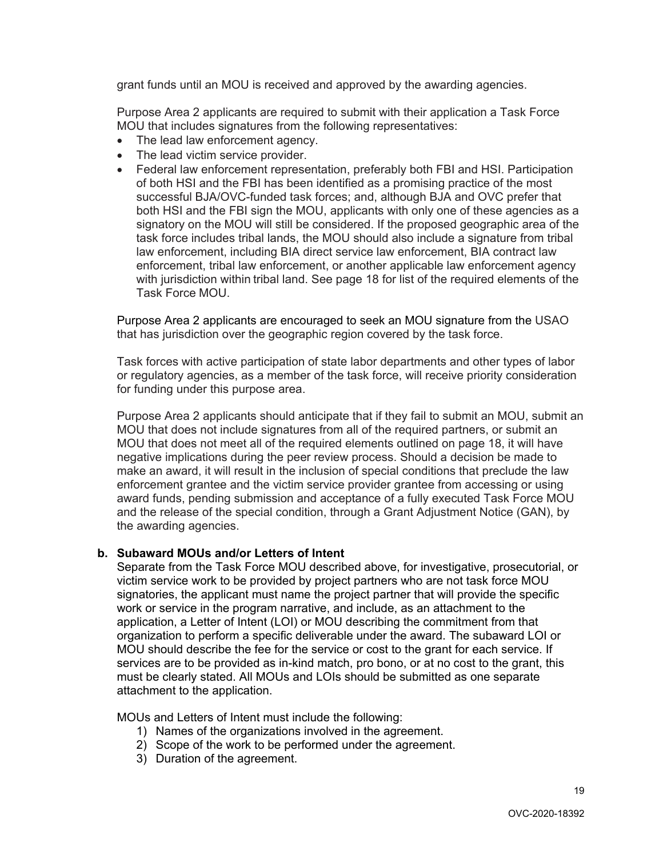grant funds until an MOU is received and approved by the awarding agencies.

Purpose Area 2 applicants are required to submit with their application a Task Force MOU that includes signatures from the following representatives:

- The lead law enforcement agency.
- The lead victim service provider.
- Federal law enforcement representation, preferably both FBI and HSI. Participation of both HSI and the FBI has been identified as a promising practice of the most successful BJA/OVC-funded task forces; and, although BJA and OVC prefer that both HSI and the FBI sign the MOU, applicants with only one of these agencies as a signatory on the MOU will still be considered. If the proposed geographic area of the task force includes tribal lands, the MOU should also include a signature from tribal law enforcement, including BIA direct service law enforcement, BIA contract law enforcement, tribal law enforcement, or another applicable law enforcement agency with jurisdiction within tribal land. See page 18 for list of the required elements of the Task Force MOU.

Purpose Area 2 applicants are encouraged to seek an MOU signature from the USAO that has jurisdiction over the geographic region covered by the task force.

Task forces with active participation of state labor departments and other types of labor or regulatory agencies, as a member of the task force, will receive priority consideration for funding under this purpose area.

Purpose Area 2 applicants should anticipate that if they fail to submit an MOU, submit an MOU that does not include signatures from all of the required partners, or submit an MOU that does not meet all of the required elements outlined on page 18, it will have negative implications during the peer review process. Should a decision be made to make an award, it will result in the inclusion of special conditions that preclude the law enforcement grantee and the victim service provider grantee from accessing or using award funds, pending submission and acceptance of a fully executed Task Force MOU and the release of the special condition, through a Grant Adjustment Notice (GAN), by the awarding agencies.

# **b. Subaward MOUs and/or Letters of Intent**

Separate from the Task Force MOU described above, for investigative, prosecutorial, or victim service work to be provided by project partners who are not task force MOU signatories, the applicant must name the project partner that will provide the specific work or service in the program narrative, and include, as an attachment to the application, a Letter of Intent (LOI) or MOU describing the commitment from that organization to perform a specific deliverable under the award. The subaward LOI or MOU should describe the fee for the service or cost to the grant for each service. If services are to be provided as in-kind match, pro bono, or at no cost to the grant, this must be clearly stated. All MOUs and LOIs should be submitted as one separate attachment to the application.

MOUs and Letters of Intent must include the following:

- 1) Names of the organizations involved in the agreement.
- 2) Scope of the work to be performed under the agreement.
- 3) Duration of the agreement.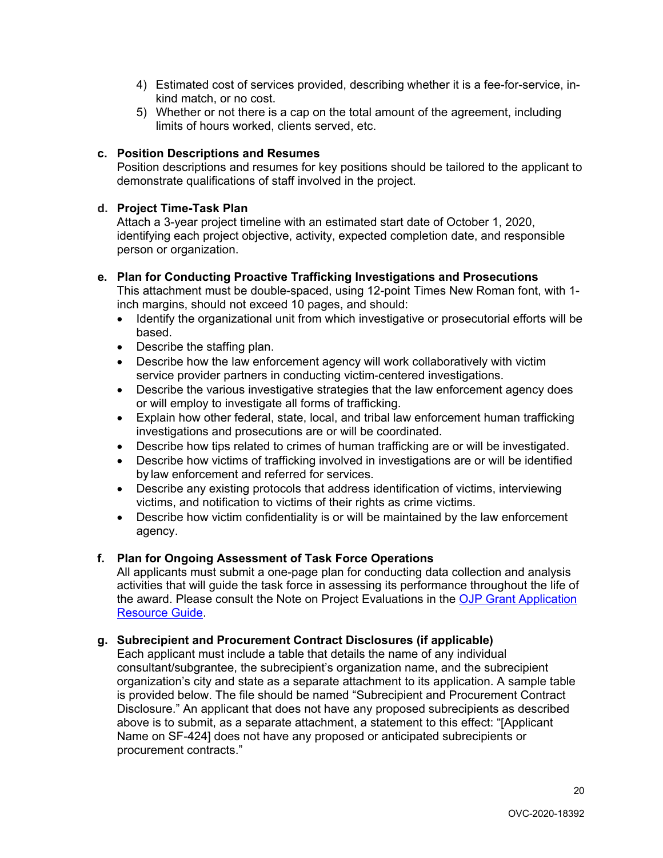- 4) Estimated cost of services provided, describing whether it is a fee-for-service, inkind match, or no cost.
- 5) Whether or not there is a cap on the total amount of the agreement, including limits of hours worked, clients served, etc.

# **c. Position Descriptions and Resumes**

Position descriptions and resumes for key positions should be tailored to the applicant to demonstrate qualifications of staff involved in the project.

# **d. Project Time-Task Plan**

Attach a 3-year project timeline with an estimated start date of October 1, 2020, identifying each project objective, activity, expected completion date, and responsible person or organization.

# **e. Plan for Conducting Proactive Trafficking Investigations and Prosecutions**

This attachment must be double-spaced, using 12-point Times New Roman font, with 1 inch margins, should not exceed 10 pages, and should:

- Identify the organizational unit from which investigative or prosecutorial efforts will be based.
- Describe the staffing plan.
- Describe how the law enforcement agency will work collaboratively with victim service provider partners in conducting victim-centered investigations.
- Describe the various investigative strategies that the law enforcement agency does or will employ to investigate all forms of trafficking.
- Explain how other federal, state, local, and tribal law enforcement human trafficking investigations and prosecutions are or will be coordinated.
- Describe how tips related to crimes of human trafficking are or will be investigated.
- Describe how victims of trafficking involved in investigations are or will be identified by law enforcement and referred for services.
- Describe any existing protocols that address identification of victims, interviewing victims, and notification to victims of their rights as crime victims.
- Describe how victim confidentiality is or will be maintained by the law enforcement agency.

# **f. Plan for Ongoing Assessment of Task Force Operations**

All applicants must submit a one-page plan for conducting data collection and analysis activities that will guide the task force in assessing its performance throughout the life of the award. Please consult the Note on Project Evaluations in the [OJP Grant Application](https://www.ojp.gov/funding/Apply/Resources/Grant-App-Resource-Guide.htm#projectEvaluation)  [Resource Guide.](https://www.ojp.gov/funding/Apply/Resources/Grant-App-Resource-Guide.htm#projectEvaluation)

# **g. Subrecipient and Procurement Contract Disclosures (if applicable)**

Each applicant must include a table that details the name of any individual consultant/subgrantee, the subrecipient's organization name, and the subrecipient organization's city and state as a separate attachment to its application. A sample table is provided below. The file should be named "Subrecipient and Procurement Contract Disclosure." An applicant that does not have any proposed subrecipients as described above is to submit, as a separate attachment, a statement to this effect: "[Applicant Name on SF-424] does not have any proposed or anticipated subrecipients or procurement contracts."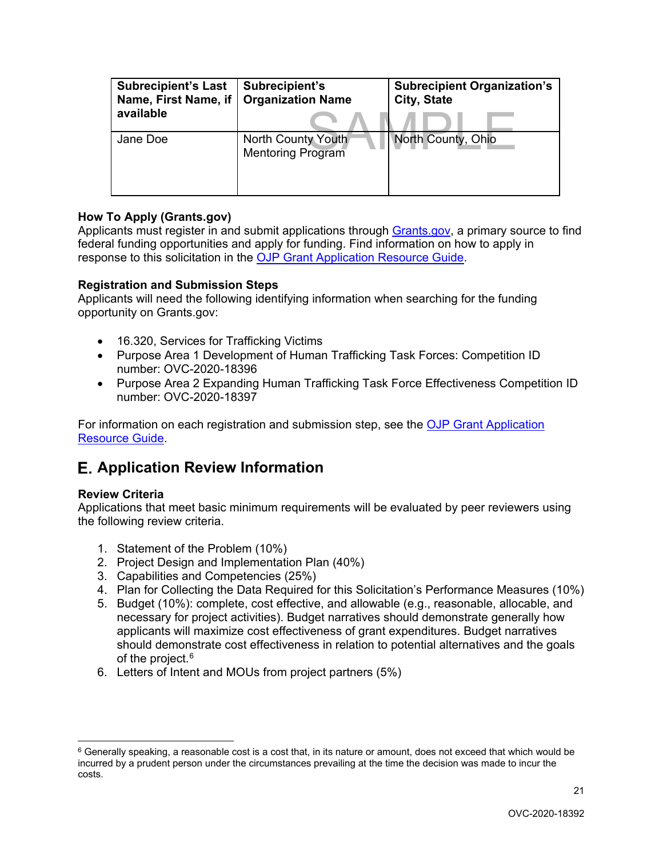| <b>Subrecipient's Last</b><br>Name, First Name, if<br>available | Subrecipient's<br><b>Organization Name</b>     | <b>Subrecipient Organization's</b><br>City, State |
|-----------------------------------------------------------------|------------------------------------------------|---------------------------------------------------|
| Jane Doe                                                        | North County Youth<br><b>Mentoring Program</b> | North County, Ohio                                |

# <span id="page-20-0"></span>**How To Apply (Grants.gov)**

Applicants must register in and submit applications through [Grants.gov,](https://www.grants.gov/) a primary source to find federal funding opportunities and apply for funding. Find information on how to apply in response to this solicitation in the [OJP Grant Application Resource Guide.](https://www.ojp.gov/funding/Apply/Resources/Grant-App-Resource-Guide.htm#howToApply)

# **Registration and Submission Steps**

Applicants will need the following identifying information when searching for the funding opportunity on Grants.gov:

- 16.320, Services for Trafficking Victims
- Purpose Area 1 Development of Human Trafficking Task Forces: Competition ID number: OVC-2020-18396
- Purpose Area 2 Expanding Human Trafficking Task Force Effectiveness Competition ID number: OVC-2020-18397

For information on each registration and submission step, see the [OJP Grant Application](https://www.ojp.gov/funding/Apply/Resources/Grant-App-Resource-Guide.htm#submissionSteps)  [Resource Guide.](https://www.ojp.gov/funding/Apply/Resources/Grant-App-Resource-Guide.htm#submissionSteps)

# <span id="page-20-1"></span>**Application Review Information**

# <span id="page-20-2"></span>**Review Criteria**

Applications that meet basic minimum requirements will be evaluated by peer reviewers using the following review criteria.

- 1. Statement of the Problem (10%)
- 2. Project Design and Implementation Plan (40%)
- 3. Capabilities and Competencies (25%)
- 4. Plan for Collecting the Data Required for this Solicitation's Performance Measures (10%)
- 5. Budget (10%): complete, cost effective, and allowable (e.g., reasonable, allocable, and necessary for project activities). Budget narratives should demonstrate generally how applicants will maximize cost effectiveness of grant expenditures. Budget narratives should demonstrate cost effectiveness in relation to potential alternatives and the goals of the project.<sup>[6](#page-20-3)</sup>
- 6. Letters of Intent and MOUs from project partners (5%)

<span id="page-20-3"></span> $6$  Generally speaking, a reasonable cost is a cost that, in its nature or amount, does not exceed that which would be incurred by a prudent person under the circumstances prevailing at the time the decision was made to incur the costs.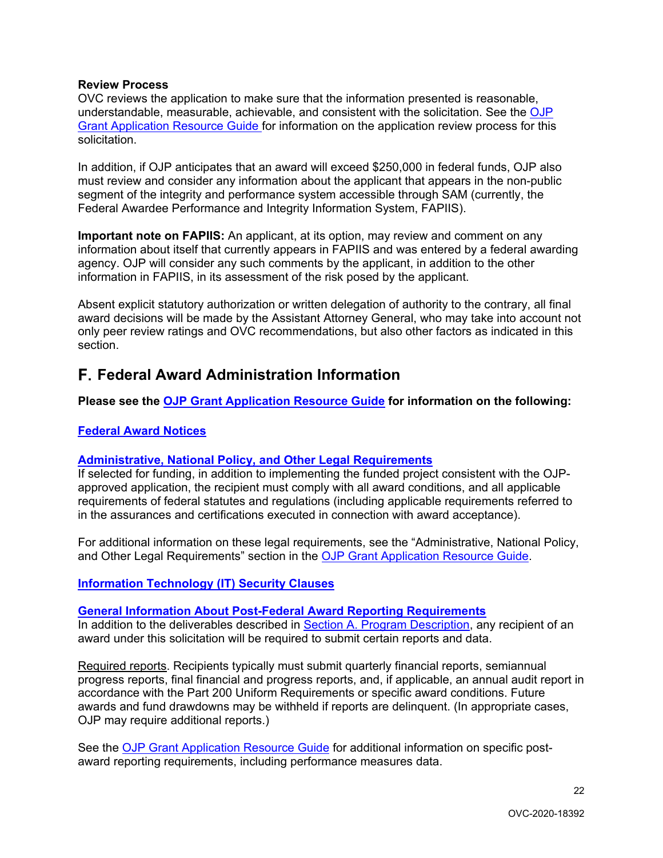#### <span id="page-21-0"></span>**Review Process**

OVC reviews the application to make sure that the information presented is reasonable, understandable, measurable, achievable, and consistent with the solicitation. See the [OJP](https://www.ojp.gov/funding/Apply/Resources/Grant-App-Resource-Guide.htm#applicationReview)  [Grant Application Resource Guide](https://www.ojp.gov/funding/Apply/Resources/Grant-App-Resource-Guide.htm#applicationReview) for information on the application review process for this solicitation.

In addition, if OJP anticipates that an award will exceed \$250,000 in federal funds, OJP also must review and consider any information about the applicant that appears in the non-public segment of the integrity and performance system accessible through SAM (currently, the Federal Awardee Performance and Integrity Information System, FAPIIS).

**Important note on FAPIIS:** An applicant, at its option, may review and comment on any information about itself that currently appears in FAPIIS and was entered by a federal awarding agency. OJP will consider any such comments by the applicant, in addition to the other information in FAPIIS, in its assessment of the risk posed by the applicant.

Absent explicit statutory authorization or written delegation of authority to the contrary, all final award decisions will be made by the Assistant Attorney General, who may take into account not only peer review ratings and OVC recommendations, but also other factors as indicated in this section.

# <span id="page-21-1"></span>**Federal Award Administration Information**

**Please see the [OJP Grant Application Resource Guide](https://ojp.gov/funding/Apply/Resources/Grant-App-Resource-Guide.htm) for information on the following:**

# <span id="page-21-2"></span>**[Federal Award Notices](https://www.ojp.gov/funding/Apply/Resources/Grant-App-Resource-Guide.htm#awardNotices)**

# <span id="page-21-3"></span>**[Administrative, National Policy, and Other Legal Requirements](https://www.ojp.gov/funding/Apply/Resources/Grant-App-Resource-Guide.htm#otherLegalRequirements)**

If selected for funding, in addition to implementing the funded project consistent with the OJPapproved application, the recipient must comply with all award conditions, and all applicable requirements of federal statutes and regulations (including applicable requirements referred to in the assurances and certifications executed in connection with award acceptance).

For additional information on these legal requirements, see the "Administrative, National Policy, and Other Legal Requirements" section in the [OJP Grant Application Resource Guide.](https://www.ojp.gov/funding/Apply/Resources/Grant-App-Resource-Guide.htm#otherLegalRequirements)

# <span id="page-21-4"></span>**[Information Technology \(IT\) Security Clauses](https://www.ojp.gov/funding/Apply/Resources/Grant-App-Resource-Guide.htm#securityClauses)**

#### <span id="page-21-5"></span>**[General Information About Post-Federal Award Reporting Requirements](https://www.ojp.gov/funding/Apply/Resources/Grant-App-Resource-Guide.htm#awardReportingRequirements)**

In addition to the deliverables described in [Section A. Program Description,](#page-6-1) any recipient of an award under this solicitation will be required to submit certain reports and data.

Required reports. Recipients typically must submit quarterly financial reports, semiannual progress reports, final financial and progress reports, and, if applicable, an annual audit report in accordance with the Part 200 Uniform Requirements or specific award conditions. Future awards and fund drawdowns may be withheld if reports are delinquent. (In appropriate cases, OJP may require additional reports.)

See the [OJP Grant Application Resource Guide](https://www.ojp.gov/funding/Apply/Resources/Grant-App-Resource-Guide.htm#awardReportingRequirements) for additional information on specific postaward reporting requirements, including performance measures data.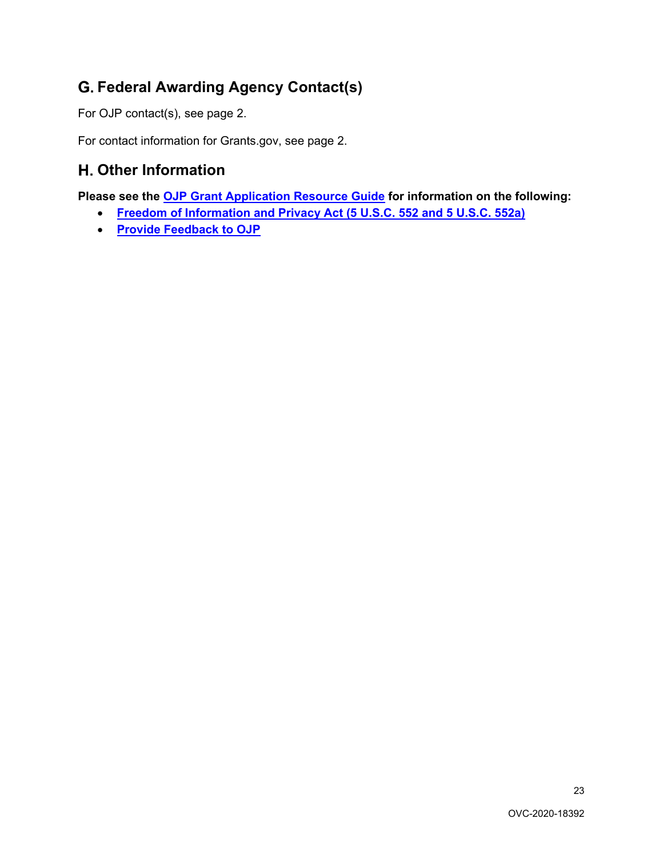# <span id="page-22-0"></span>**Federal Awarding Agency Contact(s)**

For OJP contact(s), see page 2.

For contact information for Grants.gov, see page 2.

# <span id="page-22-1"></span>**Other Information**

**Please see the [OJP Grant Application Resource Guide](https://ojp.gov/funding/Apply/Resources/Grant-App-Resource-Guide.htm) for information on the following:**

- <span id="page-22-2"></span>• **[Freedom of Information and Privacy Act \(5 U.S.C. 552 and 5 U.S.C. 552a\)](https://www.ojp.gov/funding/Apply/Resources/Grant-App-Resource-Guide.htm#foia)**
- <span id="page-22-3"></span>• **[Provide Feedback to OJP](https://www.ojp.gov/funding/Apply/Resources/Grant-App-Resource-Guide.htm#feedback)**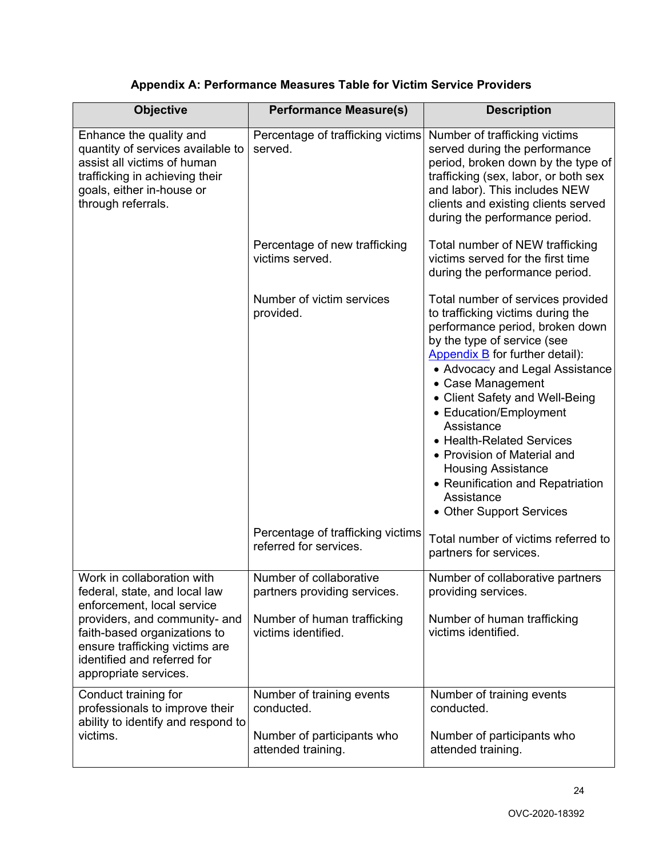<span id="page-23-0"></span>

| <b>Objective</b>                                                                                                                                                                 | <b>Performance Measure(s)</b>                               | <b>Description</b>                                                                                                                                                                                                                                                                                                                                                                                                                                                                     |
|----------------------------------------------------------------------------------------------------------------------------------------------------------------------------------|-------------------------------------------------------------|----------------------------------------------------------------------------------------------------------------------------------------------------------------------------------------------------------------------------------------------------------------------------------------------------------------------------------------------------------------------------------------------------------------------------------------------------------------------------------------|
| Enhance the quality and<br>quantity of services available to<br>assist all victims of human<br>trafficking in achieving their<br>goals, either in-house or<br>through referrals. | Percentage of trafficking victims<br>served.                | Number of trafficking victims<br>served during the performance<br>period, broken down by the type of<br>trafficking (sex, labor, or both sex<br>and labor). This includes NEW<br>clients and existing clients served<br>during the performance period.                                                                                                                                                                                                                                 |
|                                                                                                                                                                                  | Percentage of new trafficking<br>victims served.            | Total number of NEW trafficking<br>victims served for the first time<br>during the performance period.                                                                                                                                                                                                                                                                                                                                                                                 |
|                                                                                                                                                                                  | Number of victim services<br>provided.                      | Total number of services provided<br>to trafficking victims during the<br>performance period, broken down<br>by the type of service (see<br>Appendix $B$ for further detail):<br>• Advocacy and Legal Assistance<br>• Case Management<br>• Client Safety and Well-Being<br>• Education/Employment<br>Assistance<br>• Health-Related Services<br>• Provision of Material and<br><b>Housing Assistance</b><br>• Reunification and Repatriation<br>Assistance<br>• Other Support Services |
|                                                                                                                                                                                  | Percentage of trafficking victims<br>referred for services. | Total number of victims referred to<br>partners for services.                                                                                                                                                                                                                                                                                                                                                                                                                          |
| Work in collaboration with<br>federal, state, and local law<br>enforcement, local service                                                                                        | Number of collaborative<br>partners providing services.     | Number of collaborative partners<br>providing services.                                                                                                                                                                                                                                                                                                                                                                                                                                |
| providers, and community- and<br>faith-based organizations to<br>ensure trafficking victims are<br>identified and referred for<br>appropriate services.                          | Number of human trafficking<br>victims identified.          | Number of human trafficking<br>victims identified.                                                                                                                                                                                                                                                                                                                                                                                                                                     |
| Conduct training for<br>professionals to improve their<br>ability to identify and respond to                                                                                     | Number of training events<br>conducted.                     | Number of training events<br>conducted.                                                                                                                                                                                                                                                                                                                                                                                                                                                |
| victims.                                                                                                                                                                         | Number of participants who<br>attended training.            | Number of participants who<br>attended training.                                                                                                                                                                                                                                                                                                                                                                                                                                       |

# **Appendix A: Performance Measures Table for Victim Service Providers**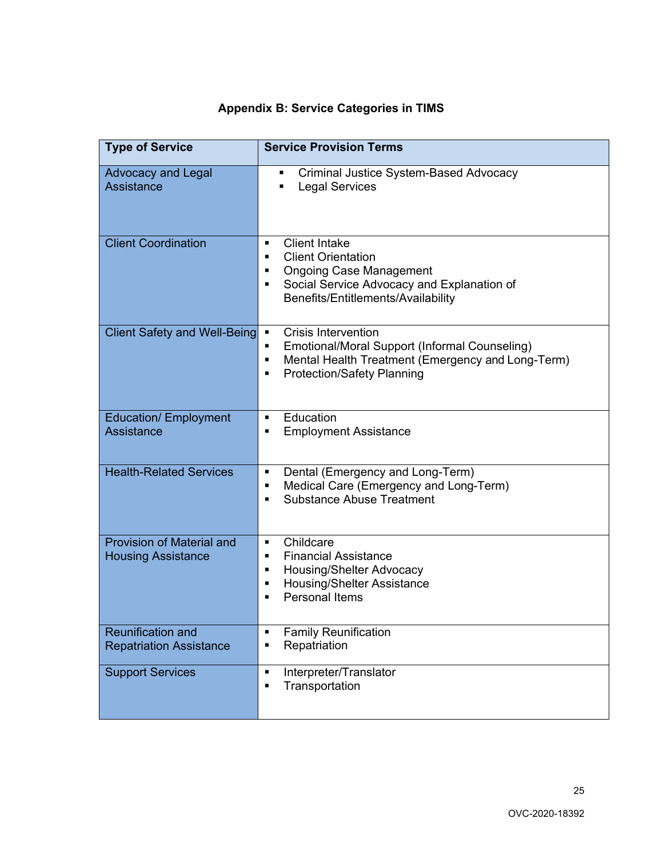# **Appendix B: Service Categories in TIMS**

<span id="page-24-0"></span>

| <b>Type of Service</b>                                        | <b>Service Provision Terms</b>                                                                                                                                                                           |  |  |
|---------------------------------------------------------------|----------------------------------------------------------------------------------------------------------------------------------------------------------------------------------------------------------|--|--|
| <b>Advocacy and Legal</b><br>Assistance                       | Criminal Justice System-Based Advocacy<br>п<br><b>Legal Services</b>                                                                                                                                     |  |  |
| <b>Client Coordination</b>                                    | <b>Client Intake</b><br>٠<br><b>Client Orientation</b><br>$\blacksquare$<br><b>Ongoing Case Management</b><br>٠<br>Social Service Advocacy and Explanation of<br>٠<br>Benefits/Entitlements/Availability |  |  |
| <b>Client Safety and Well-Being</b>                           | <b>Crisis Intervention</b><br>$\blacksquare$<br>Emotional/Moral Support (Informal Counseling)<br>٠<br>Mental Health Treatment (Emergency and Long-Term)<br>٠<br><b>Protection/Safety Planning</b><br>٠   |  |  |
| <b>Education/ Employment</b><br>Assistance                    | Education<br>٠<br><b>Employment Assistance</b><br>$\blacksquare$                                                                                                                                         |  |  |
| <b>Health-Related Services</b>                                | Dental (Emergency and Long-Term)<br>٠<br>Medical Care (Emergency and Long-Term)<br>٠<br><b>Substance Abuse Treatment</b><br>$\blacksquare$                                                               |  |  |
| <b>Provision of Material and</b><br><b>Housing Assistance</b> | Childcare<br>$\blacksquare$<br><b>Financial Assistance</b><br>٠<br>Housing/Shelter Advocacy<br>٠<br><b>Housing/Shelter Assistance</b><br>$\blacksquare$<br><b>Personal Items</b><br>$\blacksquare$       |  |  |
| <b>Reunification and</b><br><b>Repatriation Assistance</b>    | <b>Family Reunification</b><br>п<br>Repatriation<br>П                                                                                                                                                    |  |  |
| <b>Support Services</b>                                       | Interpreter/Translator<br>$\blacksquare$<br>Transportation<br>٠                                                                                                                                          |  |  |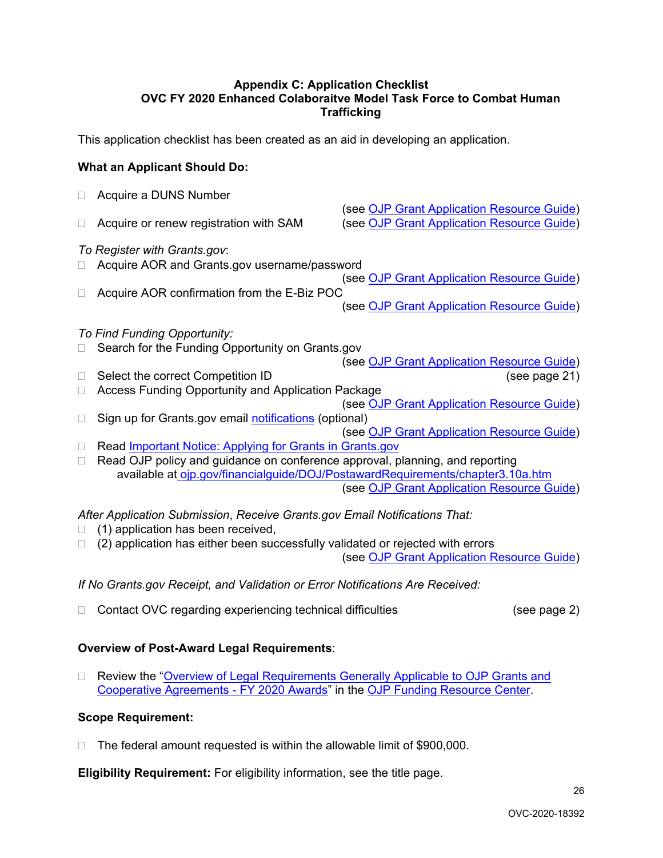#### **Appendix C: Application Checklist OVC FY 2020 Enhanced Colaboraitve Model Task Force to Combat Human Trafficking**

<span id="page-25-0"></span>This application checklist has been created as an aid in developing an application.

# **What an Applicant Should Do:**

|                                                                            | Acquire a DUNS Number                                                          |                                            |  |
|----------------------------------------------------------------------------|--------------------------------------------------------------------------------|--------------------------------------------|--|
|                                                                            |                                                                                | (see OJP Grant Application Resource Guide) |  |
|                                                                            | Acquire or renew registration with SAM                                         | (see OJP Grant Application Resource Guide) |  |
|                                                                            | To Register with Grants.gov:                                                   |                                            |  |
|                                                                            | Acquire AOR and Grants.gov username/password                                   |                                            |  |
|                                                                            |                                                                                | (see OJP Grant Application Resource Guide) |  |
|                                                                            | Acquire AOR confirmation from the E-Biz POC                                    |                                            |  |
|                                                                            |                                                                                | (see OJP Grant Application Resource Guide) |  |
|                                                                            | To Find Funding Opportunity:                                                   |                                            |  |
|                                                                            | Search for the Funding Opportunity on Grants.gov                               |                                            |  |
|                                                                            |                                                                                | (see OJP Grant Application Resource Guide) |  |
| П                                                                          | Select the correct Competition ID                                              | (see page 21)                              |  |
|                                                                            | Access Funding Opportunity and Application Package                             |                                            |  |
|                                                                            |                                                                                | (see OJP Grant Application Resource Guide) |  |
|                                                                            | Sign up for Grants.gov email notifications (optional)                          |                                            |  |
|                                                                            |                                                                                | (see OJP Grant Application Resource Guide) |  |
|                                                                            | Read Important Notice: Applying for Grants in Grants.gov                       |                                            |  |
| П                                                                          | Read OJP policy and guidance on conference approval, planning, and reporting   |                                            |  |
|                                                                            | available at ojp.gov/financialguide/DOJ/PostawardRequirements/chapter3.10a.htm |                                            |  |
|                                                                            |                                                                                | (see OJP Grant Application Resource Guide) |  |
| After Application Submission, Receive Grants.gov Email Notifications That: |                                                                                |                                            |  |
| (1) application has been received,                                         |                                                                                |                                            |  |
|                                                                            |                                                                                |                                            |  |

 $\Box$  (2) application has either been successfully validated or rejected with errors

(see [OJP Grant Application Resource Guide\)](https://www.ojp.gov/funding/Apply/Resources/Grant-App-Resource-Guide.htm#submissionSteps)

*If No Grants.gov Receipt, and Validation or Error Notifications Are Received:*

□ Contact OVC regarding experiencing technical difficulties (see page 2)

# **Overview of Post-Award Legal Requirements**:

□ Review the "Overview of Legal Requirements Generally Applicable to OJP Grants and [Cooperative Agreements - FY 2020 Awards"](https://www.ojp.gov/funding/Explore/LegalOverview2020/index.htm) in the [OJP Funding Resource Center.](https://www.ojp.gov/funding/index.htm)

#### **Scope Requirement:**

 $\Box$  The federal amount requested is within the allowable limit of \$900,000.

**Eligibility Requirement:** For eligibility information, see the title page.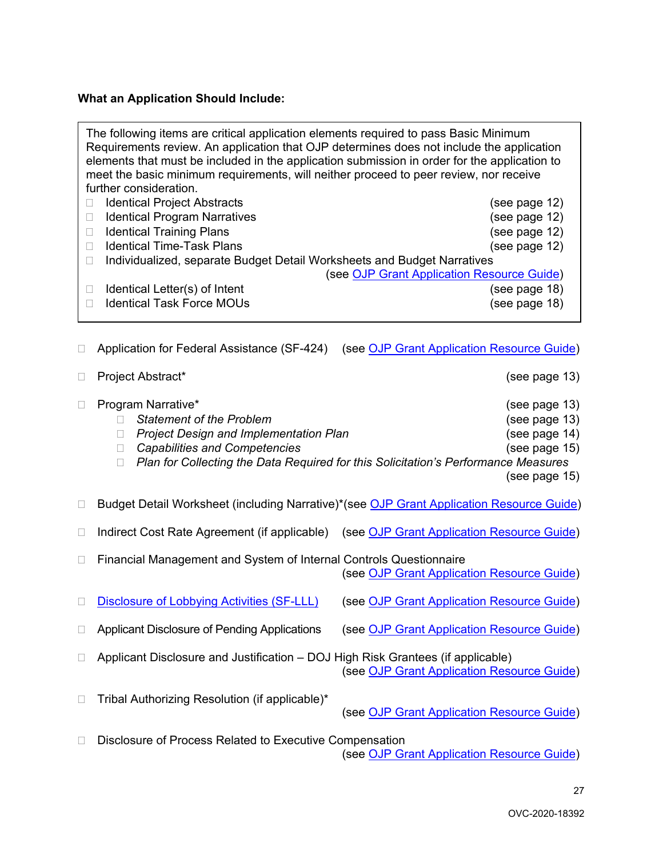# **What an Application Should Include:**

|        | The following items are critical application elements required to pass Basic Minimum<br>Requirements review. An application that OJP determines does not include the application<br>elements that must be included in the application submission in order for the application to<br>meet the basic minimum requirements, will neither proceed to peer review, nor receive<br>further consideration. |                                                                                          |  |
|--------|-----------------------------------------------------------------------------------------------------------------------------------------------------------------------------------------------------------------------------------------------------------------------------------------------------------------------------------------------------------------------------------------------------|------------------------------------------------------------------------------------------|--|
|        | <b>Identical Project Abstracts</b><br>$\Box$                                                                                                                                                                                                                                                                                                                                                        | (see page 12)                                                                            |  |
|        | <b>Identical Program Narratives</b><br>$\Box$                                                                                                                                                                                                                                                                                                                                                       | (see page 12)                                                                            |  |
|        | <b>Identical Training Plans</b><br>$\Box$                                                                                                                                                                                                                                                                                                                                                           | (see page 12)                                                                            |  |
|        | <b>Identical Time-Task Plans</b><br>$\Box$                                                                                                                                                                                                                                                                                                                                                          | (see page 12)                                                                            |  |
|        | Individualized, separate Budget Detail Worksheets and Budget Narratives<br>$\Box$                                                                                                                                                                                                                                                                                                                   |                                                                                          |  |
|        |                                                                                                                                                                                                                                                                                                                                                                                                     | (see OJP Grant Application Resource Guide)                                               |  |
|        | Identical Letter(s) of Intent<br>$\Box$                                                                                                                                                                                                                                                                                                                                                             | (see page 18)                                                                            |  |
|        | <b>Identical Task Force MOUs</b><br>$\Box$                                                                                                                                                                                                                                                                                                                                                          | (see page 18)                                                                            |  |
|        |                                                                                                                                                                                                                                                                                                                                                                                                     |                                                                                          |  |
|        | Application for Federal Assistance (SF-424)                                                                                                                                                                                                                                                                                                                                                         | (see OJP Grant Application Resource Guide)                                               |  |
| □      | Project Abstract*                                                                                                                                                                                                                                                                                                                                                                                   | (see page 13)                                                                            |  |
| $\Box$ | Program Narrative*                                                                                                                                                                                                                                                                                                                                                                                  | (see page 13)                                                                            |  |
|        | <b>Statement of the Problem</b><br>П                                                                                                                                                                                                                                                                                                                                                                | (see page 13)                                                                            |  |
|        | <b>Project Design and Implementation Plan</b><br>П                                                                                                                                                                                                                                                                                                                                                  | (see page 14)                                                                            |  |
|        | <b>Capabilities and Competencies</b><br>$\Box$                                                                                                                                                                                                                                                                                                                                                      | (see page 15)                                                                            |  |
|        | П                                                                                                                                                                                                                                                                                                                                                                                                   | Plan for Collecting the Data Required for this Solicitation's Performance Measures       |  |
|        |                                                                                                                                                                                                                                                                                                                                                                                                     | (see page 15)                                                                            |  |
|        |                                                                                                                                                                                                                                                                                                                                                                                                     |                                                                                          |  |
| $\Box$ |                                                                                                                                                                                                                                                                                                                                                                                                     | Budget Detail Worksheet (including Narrative)*(see OJP Grant Application Resource Guide) |  |
| □      |                                                                                                                                                                                                                                                                                                                                                                                                     | Indirect Cost Rate Agreement (if applicable) (see OJP Grant Application Resource Guide)  |  |
| $\Box$ | Financial Management and System of Internal Controls Questionnaire                                                                                                                                                                                                                                                                                                                                  |                                                                                          |  |
|        |                                                                                                                                                                                                                                                                                                                                                                                                     | (see OJP Grant Application Resource Guide)                                               |  |
|        |                                                                                                                                                                                                                                                                                                                                                                                                     |                                                                                          |  |
| П      | Disclosure of Lobbying Activities (SF-LLL)                                                                                                                                                                                                                                                                                                                                                          | (see OJP Grant Application Resource Guide)                                               |  |
|        |                                                                                                                                                                                                                                                                                                                                                                                                     |                                                                                          |  |
| □      | Applicant Disclosure of Pending Applications                                                                                                                                                                                                                                                                                                                                                        | (see OJP Grant Application Resource Guide)                                               |  |
| $\Box$ | Applicant Disclosure and Justification – DOJ High Risk Grantees (if applicable)                                                                                                                                                                                                                                                                                                                     |                                                                                          |  |
|        |                                                                                                                                                                                                                                                                                                                                                                                                     | (see OJP Grant Application Resource Guide)                                               |  |
|        |                                                                                                                                                                                                                                                                                                                                                                                                     |                                                                                          |  |
| □      | Tribal Authorizing Resolution (if applicable)*                                                                                                                                                                                                                                                                                                                                                      | (see OJP Grant Application Resource Guide)                                               |  |
|        |                                                                                                                                                                                                                                                                                                                                                                                                     |                                                                                          |  |
|        | Disclosure of Process Related to Executive Compensation                                                                                                                                                                                                                                                                                                                                             |                                                                                          |  |

(see [OJP Grant Application Resource Guide\)](https://www.ojp.gov/funding/Apply/Resources/Grant-App-Resource-Guide.htm#processDisclosure)

27